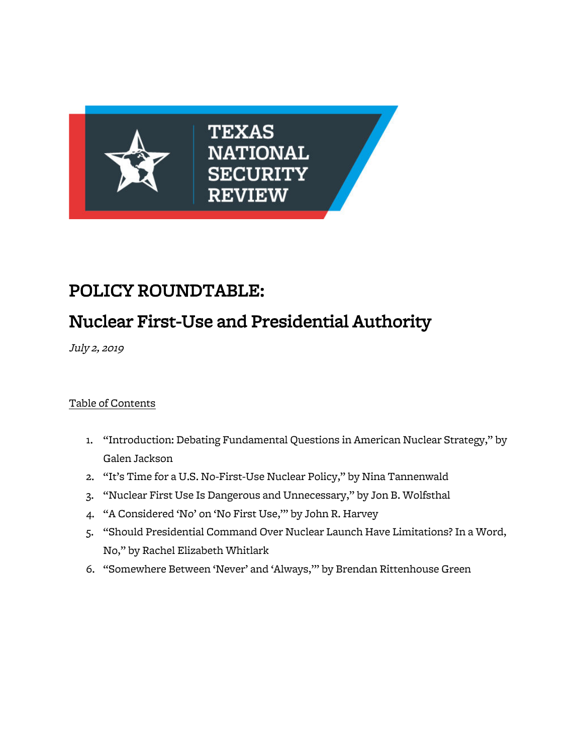

# POLICY ROUNDTABLE:

# Nuclear First-Use and Presidential Authority

July 2, 2019

# Table of Contents

- 1. "Introduction: Debating Fundamental Questions in American Nuclear Strategy," by Galen Jackson
- 2. "It's Time for a U.S. No-First-Use Nuclear Policy," by Nina Tannenwald
- 3. "Nuclear First Use Is Dangerous and Unnecessary," by Jon B. Wolfsthal
- 4. "A Considered 'No' on 'No First Use,'" by John R. Harvey
- 5. "Should Presidential Command Over Nuclear Launch Have Limitations? In a Word, No," by Rachel Elizabeth Whitlark
- 6. "Somewhere Between 'Never' and 'Always,'" by Brendan Rittenhouse Green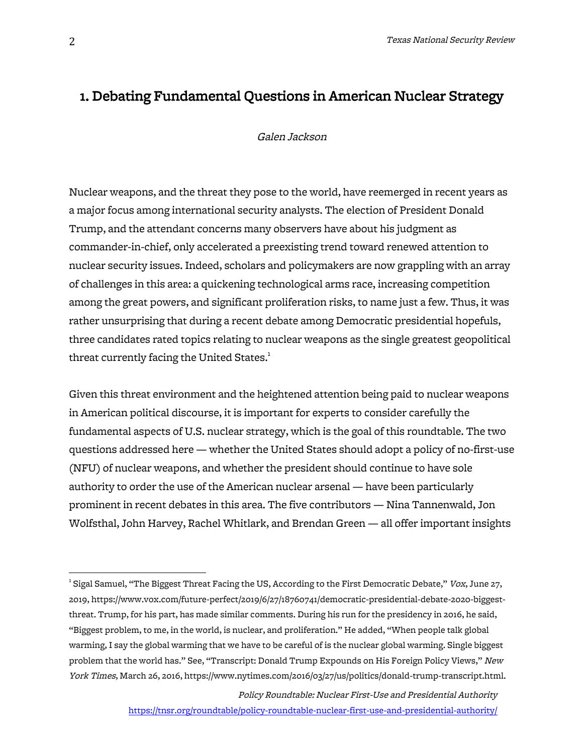# 1. Debating Fundamental Questions in American Nuclear Strategy

#### Galen Jackson

Nuclear weapons, and the threat they pose to the world, have reemerged in recent years as a major focus among international security analysts. The election of President Donald Trump, and the attendant concerns many observers have about his judgment as commander-in-chief, only accelerated a preexisting trend toward renewed attention to nuclear security issues. Indeed, scholars and policymakers are now grappling with an array of challenges in this area: a quickening technological arms race, increasing competition among the great powers, and significant proliferation risks, to name just a few. Thus, it was rather unsurprising that during a recent debate among Democratic presidential hopefuls, three candidates rated topics relating to nuclear weapons as the single greatest geopolitical threat currently facing the United States. $^{\rm 1}$ 

Given this threat environment and the heightened attention being paid to nuclear weapons in American political discourse, it is important for experts to consider carefully the fundamental aspects of U.S. nuclear strategy, which is the goal of this roundtable. The two questions addressed here — whether the United States should adopt a policy of no-first-use (NFU) of nuclear weapons, and whether the president should continue to have sole authority to order the use of the American nuclear arsenal — have been particularly prominent in recent debates in this area. The five contributors — Nina Tannenwald, Jon Wolfsthal, John Harvey, Rachel Whitlark, and Brendan Green — all offer important insights

 <sup>1</sup> Sigal Samuel, "The Biggest Threat Facing the US, According to the First Democratic Debate," Vox, June 27, 2019, https://www.vox.com/future-perfect/2019/6/27/18760741/democratic-presidential-debate-2020-biggestthreat. Trump, for his part, has made similar comments. During his run for the presidency in 2016, he said, "Biggest problem, to me, in the world, is nuclear, and proliferation." He added, "When people talk global warming, I say the global warming that we have to be careful of is the nuclear global warming. Single biggest problem that the world has." See, "Transcript: Donald Trump Expounds on His Foreign Policy Views," New York Times, March 26, 2016, https://www.nytimes.com/2016/03/27/us/politics/donald-trump-transcript.html.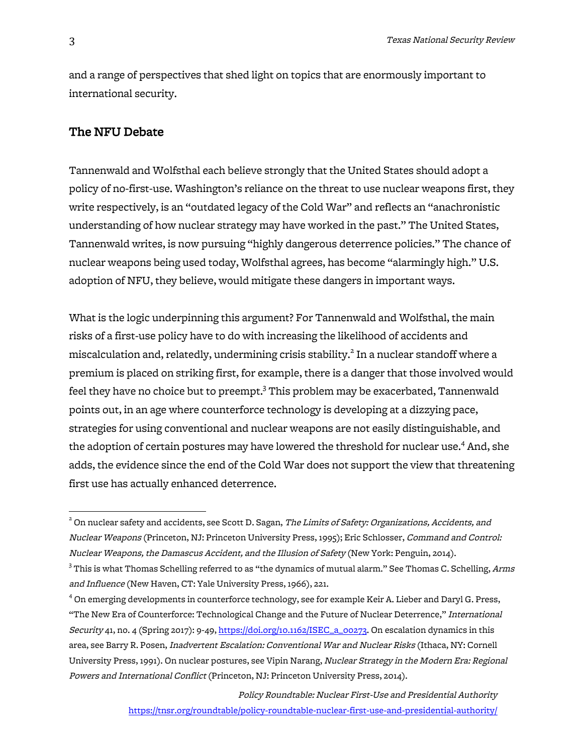and a range of perspectives that shed light on topics that are enormously important to international security.

### The NFU Debate

Tannenwald and Wolfsthal each believe strongly that the United States should adopt a policy of no-first-use. Washington's reliance on the threat to use nuclear weapons first, they write respectively, is an "outdated legacy of the Cold War" and reflects an "anachronistic understanding of how nuclear strategy may have worked in the past." The United States, Tannenwald writes, is now pursuing "highly dangerous deterrence policies." The chance of nuclear weapons being used today, Wolfsthal agrees, has become "alarmingly high." U.S. adoption of NFU, they believe, would mitigate these dangers in important ways.

What is the logic underpinning this argument? For Tannenwald and Wolfsthal, the main risks of a first-use policy have to do with increasing the likelihood of accidents and miscalculation and, relatedly, undermining crisis stability.<sup>2</sup> In a nuclear standoff where a premium is placed on striking first, for example, there is a danger that those involved would feel they have no choice but to preempt.<sup>3</sup> This problem may be exacerbated, Tannenwald points out, in an age where counterforce technology is developing at a dizzying pace, strategies for using conventional and nuclear weapons are not easily distinguishable, and the adoption of certain postures may have lowered the threshold for nuclear use.<sup>4</sup> And, she adds, the evidence since the end of the Cold War does not support the view that threatening first use has actually enhanced deterrence.

 $2$  On nuclear safety and accidents, see Scott D. Sagan, *The Limits of Safety: Organizations, Accidents, and* Nuclear Weapons (Princeton, NJ: Princeton University Press, 1995); Eric Schlosser, Command and Control: Nuclear Weapons, the Damascus Accident, and the Illusion of Safety (New York: Penguin, 2014).

 $^3$  This is what Thomas Schelling referred to as "the dynamics of mutual alarm." See Thomas C. Schelling,  $Arms$ and Influence (New Haven, CT: Yale University Press, 1966), 221.

<sup>4</sup> On emerging developments in counterforce technology, see for example Keir A. Lieber and Daryl G. Press, "The New Era of Counterforce: Technological Change and the Future of Nuclear Deterrence," International Security 41, no. 4 (Spring 2017): 9-49, https://doi.org/10.1162/ISEC\_a\_00273. On escalation dynamics in this area, see Barry R. Posen, Inadvertent Escalation: Conventional War and Nuclear Risks (Ithaca, NY: Cornell University Press, 1991). On nuclear postures, see Vipin Narang, Nuclear Strategy in the Modern Era: Regional Powers and International Conflict (Princeton, NJ: Princeton University Press, 2014).

Policy Roundtable: Nuclear First-Use and Presidential Authority https://tnsr.org/roundtable/policy-roundtable-nuclear-first-use-and-presidential-authority/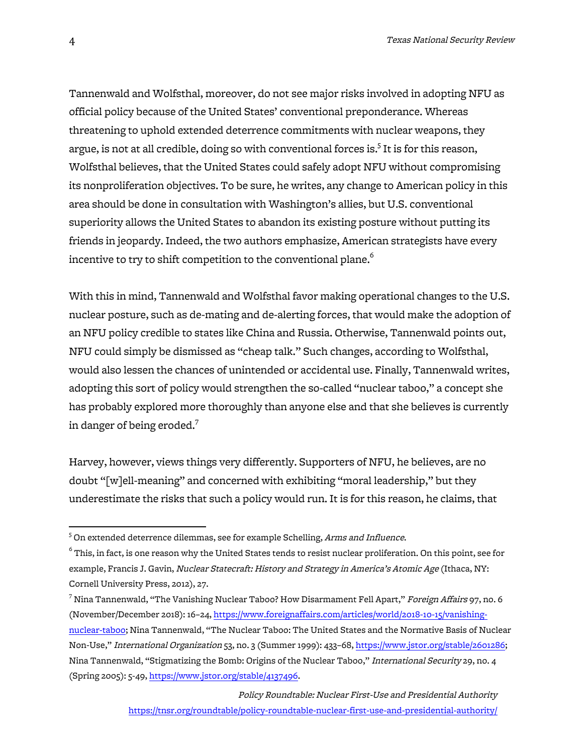Tannenwald and Wolfsthal, moreover, do not see major risks involved in adopting NFU as official policy because of the United States' conventional preponderance. Whereas threatening to uphold extended deterrence commitments with nuclear weapons, they argue, is not at all credible, doing so with conventional forces is.<sup>5</sup> It is for this reason, Wolfsthal believes, that the United States could safely adopt NFU without compromising its nonproliferation objectives. To be sure, he writes, any change to American policy in this area should be done in consultation with Washington's allies, but U.S. conventional superiority allows the United States to abandon its existing posture without putting its friends in jeopardy. Indeed, the two authors emphasize, American strategists have every incentive to try to shift competition to the conventional plane.<sup>6</sup>

With this in mind, Tannenwald and Wolfsthal favor making operational changes to the U.S. nuclear posture, such as de-mating and de-alerting forces, that would make the adoption of an NFU policy credible to states like China and Russia. Otherwise, Tannenwald points out, NFU could simply be dismissed as "cheap talk." Such changes, according to Wolfsthal, would also lessen the chances of unintended or accidental use. Finally, Tannenwald writes, adopting this sort of policy would strengthen the so-called "nuclear taboo," a concept she has probably explored more thoroughly than anyone else and that she believes is currently in danger of being eroded.<sup>7</sup>

Harvey, however, views things very differently. Supporters of NFU, he believes, are no doubt "[w]ell-meaning" and concerned with exhibiting "moral leadership," but they underestimate the risks that such a policy would run. It is for this reason, he claims, that

 <sup>5</sup> On extended deterrence dilemmas, see for example Schelling, Arms and Influence.

 $^6$  This, in fact, is one reason why the United States tends to resist nuclear proliferation. On this point, see for example, Francis J. Gavin, Nuclear Statecraft: History and Strategy in America's Atomic Age (Ithaca, NY: Cornell University Press, 2012), 27.

 $^7$  Nina Tannenwald, "The Vanishing Nuclear Taboo? How Disarmament Fell Apart," Foreign Affairs 97, no. 6 (November/December 2018): 16–24, https://www.foreignaffairs.com/articles/world/2018-10-15/vanishingnuclear-taboo; Nina Tannenwald, "The Nuclear Taboo: The United States and the Normative Basis of Nuclear Non-Use," International Organization 53, no. 3 (Summer 1999): 433–68, https://www.jstor.org/stable/2601286; Nina Tannenwald, "Stigmatizing the Bomb: Origins of the Nuclear Taboo," International Security 29, no. 4 (Spring 2005): 5-49, https://www.jstor.org/stable/4137496.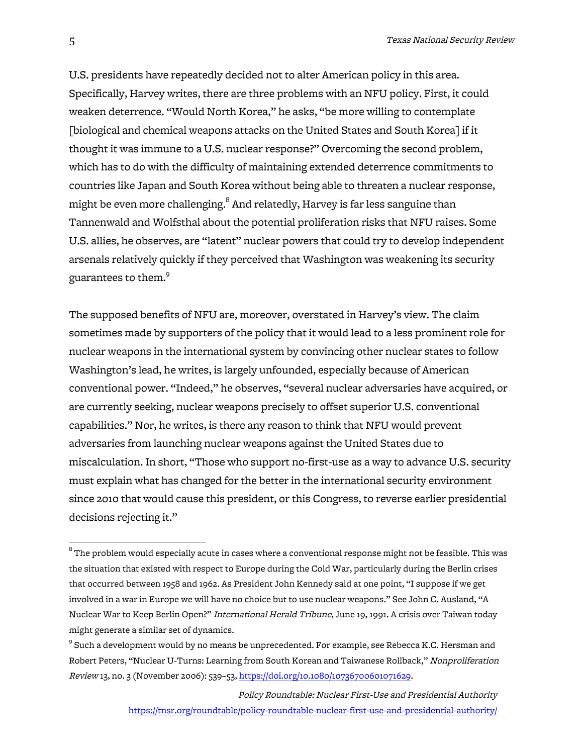U.S. presidents have repeatedly decided not to alter American policy in this area. Specifically, Harvey writes, there are three problems with an NFU policy. First, it could weaken deterrence. "Would North Korea," he asks, "be more willing to contemplate [biological and chemical weapons attacks on the United States and South Korea] if it thought it was immune to a U.S. nuclear response?" Overcoming the second problem, which has to do with the difficulty of maintaining extended deterrence commitments to countries like Japan and South Korea without being able to threaten a nuclear response, might be even more challenging.<sup>8</sup> And relatedly, Harvey is far less sanguine than Tannenwald and Wolfsthal about the potential proliferation risks that NFU raises. Some U.S. allies, he observes, are "latent" nuclear powers that could try to develop independent arsenals relatively quickly if they perceived that Washington was weakening its security guarantees to them.9

The supposed benefits of NFU are, moreover, overstated in Harvey's view. The claim sometimes made by supporters of the policy that it would lead to a less prominent role for nuclear weapons in the international system by convincing other nuclear states to follow Washington's lead, he writes, is largely unfounded, especially because of American conventional power. "Indeed," he observes, "several nuclear adversaries have acquired, or are currently seeking, nuclear weapons precisely to offset superior U.S. conventional capabilities." Nor, he writes, is there any reason to think that NFU would prevent adversaries from launching nuclear weapons against the United States due to miscalculation. In short, "Those who support no-first-use as a way to advance U.S. security must explain what has changed for the better in the international security environment since 2010 that would cause this president, or this Congress, to reverse earlier presidential decisions rejecting it."

 $^{\rm 8}$  The problem would especially acute in cases where a conventional response might not be feasible. This was the situation that existed with respect to Europe during the Cold War, particularly during the Berlin crises that occurred between 1958 and 1962. As President John Kennedy said at one point, "I suppose if we get involved in a war in Europe we will have no choice but to use nuclear weapons." See John C. Ausland, "A Nuclear War to Keep Berlin Open?" International Herald Tribune, June 19, 1991. A crisis over Taiwan today might generate a similar set of dynamics.

 $9$  Such a development would by no means be unprecedented. For example, see Rebecca K.C. Hersman and Robert Peters, "Nuclear U-Turns: Learning from South Korean and Taiwanese Rollback," Nonproliferation Review 13, no. 3 (November 2006): 539–53, https://doi.org/10.1080/10736700601071629.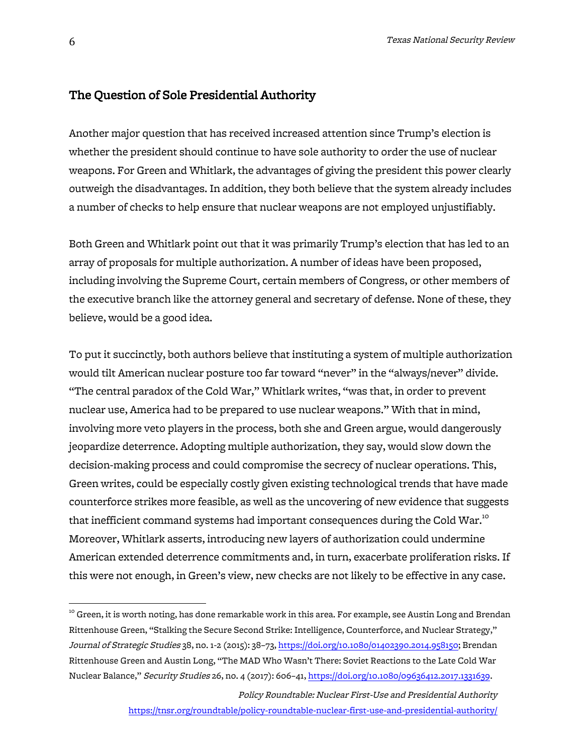### The Question of Sole Presidential Authority

Another major question that has received increased attention since Trump's election is whether the president should continue to have sole authority to order the use of nuclear weapons. For Green and Whitlark, the advantages of giving the president this power clearly outweigh the disadvantages. In addition, they both believe that the system already includes a number of checks to help ensure that nuclear weapons are not employed unjustifiably.

Both Green and Whitlark point out that it was primarily Trump's election that has led to an array of proposals for multiple authorization. A number of ideas have been proposed, including involving the Supreme Court, certain members of Congress, or other members of the executive branch like the attorney general and secretary of defense. None of these, they believe, would be a good idea.

To put it succinctly, both authors believe that instituting a system of multiple authorization would tilt American nuclear posture too far toward "never" in the "always/never" divide. "The central paradox of the Cold War," Whitlark writes, "was that, in order to prevent nuclear use, America had to be prepared to use nuclear weapons." With that in mind, involving more veto players in the process, both she and Green argue, would dangerously jeopardize deterrence. Adopting multiple authorization, they say, would slow down the decision-making process and could compromise the secrecy of nuclear operations. This, Green writes, could be especially costly given existing technological trends that have made counterforce strikes more feasible, as well as the uncovering of new evidence that suggests that inefficient command systems had important consequences during the Cold War.<sup>10</sup> Moreover, Whitlark asserts, introducing new layers of authorization could undermine American extended deterrence commitments and, in turn, exacerbate proliferation risks. If this were not enough, in Green's view, new checks are not likely to be effective in any case.

 $^{\rm10}$  Green, it is worth noting, has done remarkable work in this area. For example, see Austin Long and Brendan Rittenhouse Green, "Stalking the Secure Second Strike: Intelligence, Counterforce, and Nuclear Strategy," Journal of Strategic Studies 38, no. 1-2 (2015): 38–73, https://doi.org/10.1080/01402390.2014.958150; Brendan Rittenhouse Green and Austin Long, "The MAD Who Wasn't There: Soviet Reactions to the Late Cold War Nuclear Balance," Security Studies 26, no. 4 (2017): 606–41, https://doi.org/10.1080/09636412.2017.1331639.

Policy Roundtable: Nuclear First-Use and Presidential Authority https://tnsr.org/roundtable/policy-roundtable-nuclear-first-use-and-presidential-authority/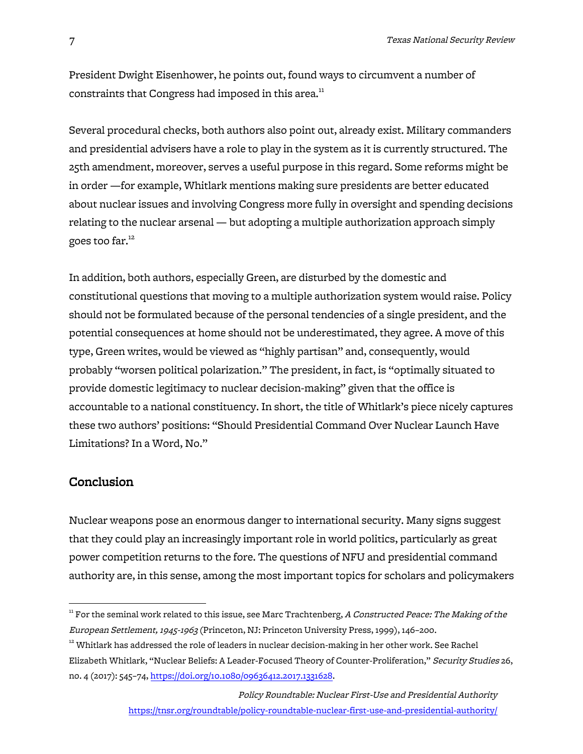President Dwight Eisenhower, he points out, found ways to circumvent a number of constraints that Congress had imposed in this area.<sup>11</sup>

Several procedural checks, both authors also point out, already exist. Military commanders and presidential advisers have a role to play in the system as it is currently structured. The 25th amendment, moreover, serves a useful purpose in this regard. Some reforms might be in order —for example, Whitlark mentions making sure presidents are better educated about nuclear issues and involving Congress more fully in oversight and spending decisions relating to the nuclear arsenal — but adopting a multiple authorization approach simply goes too far.<sup>12</sup>

In addition, both authors, especially Green, are disturbed by the domestic and constitutional questions that moving to a multiple authorization system would raise. Policy should not be formulated because of the personal tendencies of a single president, and the potential consequences at home should not be underestimated, they agree. A move of this type, Green writes, would be viewed as "highly partisan" and, consequently, would probably "worsen political polarization." The president, in fact, is "optimally situated to provide domestic legitimacy to nuclear decision-making" given that the office is accountable to a national constituency. In short, the title of Whitlark's piece nicely captures these two authors' positions: "Should Presidential Command Over Nuclear Launch Have Limitations? In a Word, No."

#### **Conclusion**

Nuclear weapons pose an enormous danger to international security. Many signs suggest that they could play an increasingly important role in world politics, particularly as great power competition returns to the fore. The questions of NFU and presidential command authority are, in this sense, among the most important topics for scholars and policymakers

 $^{\rm n}$  For the seminal work related to this issue, see Marc Trachtenberg, A Constructed Peace: The Making of the European Settlement, 1945-1963 (Princeton, NJ: Princeton University Press, 1999), 146–200.

 $12$  Whitlark has addressed the role of leaders in nuclear decision-making in her other work. See Rachel Elizabeth Whitlark, "Nuclear Beliefs: A Leader-Focused Theory of Counter-Proliferation," Security Studies 26, no. 4 (2017): 545–74, https://doi.org/10.1080/09636412.2017.1331628.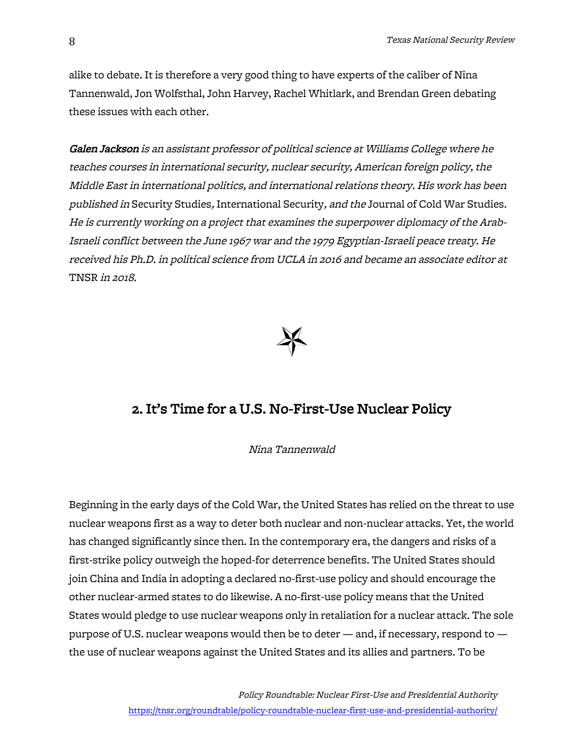alike to debate. It is therefore a very good thing to have experts of the caliber of Nina Tannenwald, Jon Wolfsthal, John Harvey, Rachel Whitlark, and Brendan Green debating these issues with each other.

Galen Jackson is an assistant professor of political science at Williams College where he teaches courses in international security, nuclear security, American foreign policy, the Middle East in international politics, and international relations theory. His work has been published in Security Studies, International Security, and the Journal of Cold War Studies. He is currently working on a project that examines the superpower diplomacy of the Arab-Israeli conflict between the June 1967 war and the 1979 Egyptian-Israeli peace treaty. He received his Ph.D. in political science from UCLA in 2016 and became an associate editor at TNSR in 2018.



# 2. It's Time for a U.S. No-First-Use Nuclear Policy

Nina Tannenwald

Beginning in the early days of the Cold War, the United States has relied on the threat to use nuclear weapons first as a way to deter both nuclear and non-nuclear attacks. Yet, the world has changed significantly since then. In the contemporary era, the dangers and risks of a first-strike policy outweigh the hoped-for deterrence benefits. The United States should join China and India in adopting a declared no-first-use policy and should encourage the other nuclear-armed states to do likewise. A no-first-use policy means that the United States would pledge to use nuclear weapons only in retaliation for a nuclear attack. The sole purpose of U.S. nuclear weapons would then be to deter — and, if necessary, respond to the use of nuclear weapons against the United States and its allies and partners. To be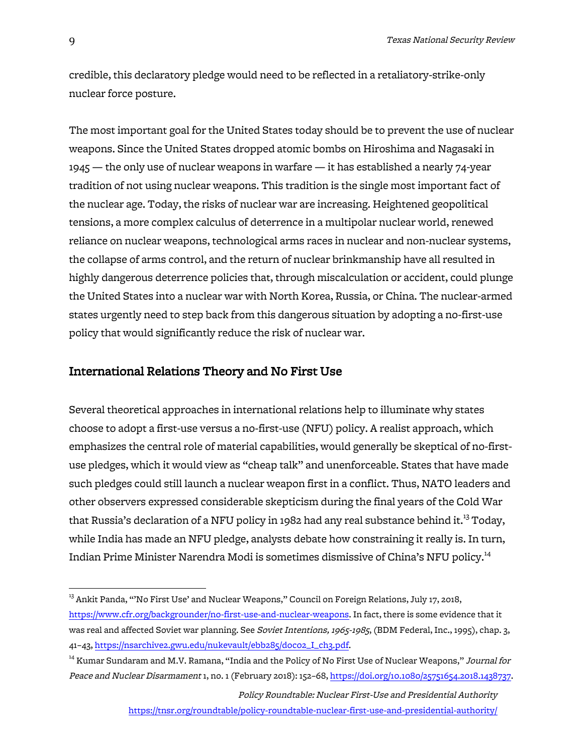credible, this declaratory pledge would need to be reflected in a retaliatory-strike-only nuclear force posture.

The most important goal for the United States today should be to prevent the use of nuclear weapons. Since the United States dropped atomic bombs on Hiroshima and Nagasaki in 1945 — the only use of nuclear weapons in warfare — it has established a nearly 74-year tradition of not using nuclear weapons. This tradition is the single most important fact of the nuclear age. Today, the risks of nuclear war are increasing. Heightened geopolitical tensions, a more complex calculus of deterrence in a multipolar nuclear world, renewed reliance on nuclear weapons, technological arms races in nuclear and non-nuclear systems, the collapse of arms control, and the return of nuclear brinkmanship have all resulted in highly dangerous deterrence policies that, through miscalculation or accident, could plunge the United States into a nuclear war with North Korea, Russia, or China. The nuclear-armed states urgently need to step back from this dangerous situation by adopting a no-first-use policy that would significantly reduce the risk of nuclear war.

#### International Relations Theory and No First Use

Several theoretical approaches in international relations help to illuminate why states choose to adopt a first-use versus a no-first-use (NFU) policy. A realist approach, which emphasizes the central role of material capabilities, would generally be skeptical of no-firstuse pledges, which it would view as "cheap talk" and unenforceable. States that have made such pledges could still launch a nuclear weapon first in a conflict. Thus, NATO leaders and other observers expressed considerable skepticism during the final years of the Cold War that Russia's declaration of a NFU policy in 1982 had any real substance behind it.<sup>13</sup> Today, while India has made an NFU pledge, analysts debate how constraining it really is. In turn, Indian Prime Minister Narendra Modi is sometimes dismissive of China's NFU policy.<sup>14</sup>

<sup>&</sup>lt;sup>13</sup> Ankit Panda, "'No First Use' and Nuclear Weapons," Council on Foreign Relations, July 17, 2018, https://www.cfr.org/backgrounder/no-first-use-and-nuclear-weapons. In fact, there is some evidence that it was real and affected Soviet war planning. See Soviet Intentions, 1965-1985, (BDM Federal, Inc., 1995), chap. 3, 41–43, https://nsarchive2.gwu.edu/nukevault/ebb285/doc02\_I\_ch3.pdf.

<sup>&</sup>lt;sup>14</sup> Kumar Sundaram and M.V. Ramana, "India and the Policy of No First Use of Nuclear Weapons," *Journal for* Peace and Nuclear Disarmament 1, no. 1 (February 2018): 152–68, https://doi.org/10.1080/25751654.2018.1438737.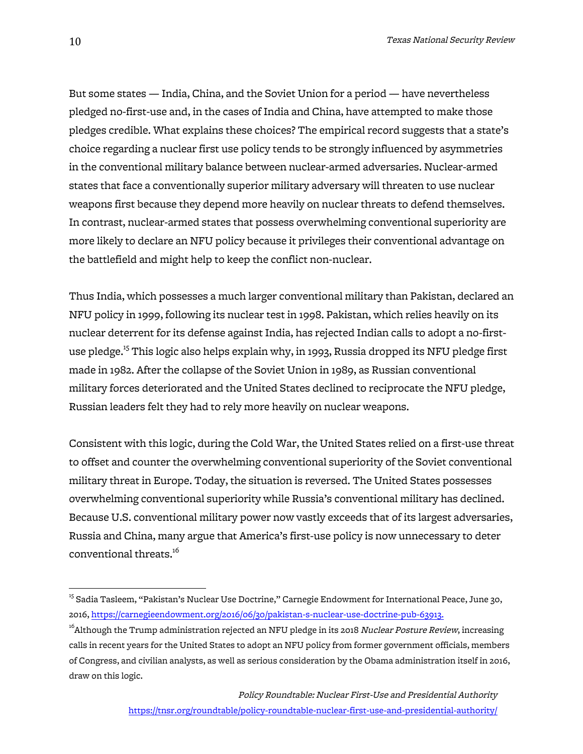But some states — India, China, and the Soviet Union for a period — have nevertheless pledged no-first-use and, in the cases of India and China, have attempted to make those pledges credible. What explains these choices? The empirical record suggests that a state's choice regarding a nuclear first use policy tends to be strongly influenced by asymmetries in the conventional military balance between nuclear-armed adversaries. Nuclear-armed states that face a conventionally superior military adversary will threaten to use nuclear weapons first because they depend more heavily on nuclear threats to defend themselves. In contrast, nuclear-armed states that possess overwhelming conventional superiority are more likely to declare an NFU policy because it privileges their conventional advantage on the battlefield and might help to keep the conflict non-nuclear.

Thus India, which possesses a much larger conventional military than Pakistan, declared an NFU policy in 1999, following its nuclear test in 1998. Pakistan, which relies heavily on its nuclear deterrent for its defense against India, has rejected Indian calls to adopt a no-firstuse pledge.<sup>15</sup> This logic also helps explain why, in 1993, Russia dropped its NFU pledge first made in 1982. After the collapse of the Soviet Union in 1989, as Russian conventional military forces deteriorated and the United States declined to reciprocate the NFU pledge, Russian leaders felt they had to rely more heavily on nuclear weapons.

Consistent with this logic, during the Cold War, the United States relied on a first-use threat to offset and counter the overwhelming conventional superiority of the Soviet conventional military threat in Europe. Today, the situation is reversed. The United States possesses overwhelming conventional superiority while Russia's conventional military has declined. Because U.S. conventional military power now vastly exceeds that of its largest adversaries, Russia and China, many argue that America's first-use policy is now unnecessary to deter conventional threats.<sup>16</sup>

<sup>&</sup>lt;sup>15</sup> Sadia Tasleem, "Pakistan's Nuclear Use Doctrine," Carnegie Endowment for International Peace, June 30, 2016, https://carnegieendowment.org/2016/06/30/pakistan-s-nuclear-use-doctrine-pub-63913.

<sup>&</sup>lt;sup>16</sup>Although the Trump administration rejected an NFU pledge in its 2018 *Nuclear Posture Review*, increasing calls in recent years for the United States to adopt an NFU policy from former government officials, members of Congress, and civilian analysts, as well as serious consideration by the Obama administration itself in 2016, draw on this logic.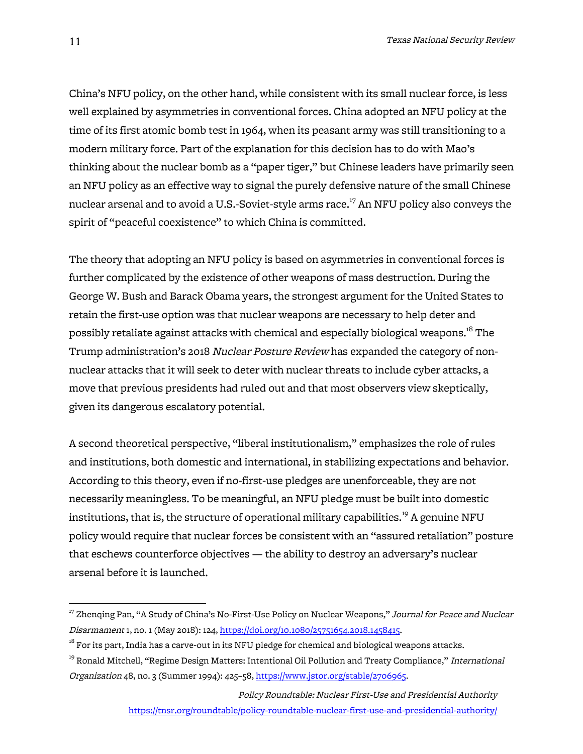China's NFU policy, on the other hand, while consistent with its small nuclear force, is less well explained by asymmetries in conventional forces. China adopted an NFU policy at the time of its first atomic bomb test in 1964, when its peasant army was still transitioning to a modern military force. Part of the explanation for this decision has to do with Mao's thinking about the nuclear bomb as a "paper tiger," but Chinese leaders have primarily seen an NFU policy as an effective way to signal the purely defensive nature of the small Chinese nuclear arsenal and to avoid a U.S.-Soviet-style arms race.<sup>17</sup> An NFU policy also conveys the spirit of "peaceful coexistence" to which China is committed.

The theory that adopting an NFU policy is based on asymmetries in conventional forces is further complicated by the existence of other weapons of mass destruction. During the George W. Bush and Barack Obama years, the strongest argument for the United States to retain the first-use option was that nuclear weapons are necessary to help deter and possibly retaliate against attacks with chemical and especially biological weapons. $^{18}$  The Trump administration's 2018 Nuclear Posture Review has expanded the category of nonnuclear attacks that it will seek to deter with nuclear threats to include cyber attacks, a move that previous presidents had ruled out and that most observers view skeptically, given its dangerous escalatory potential.

A second theoretical perspective, "liberal institutionalism," emphasizes the role of rules and institutions, both domestic and international, in stabilizing expectations and behavior. According to this theory, even if no-first-use pledges are unenforceable, they are not necessarily meaningless. To be meaningful, an NFU pledge must be built into domestic institutions, that is, the structure of operational military capabilities.<sup>19</sup> A genuine NFU policy would require that nuclear forces be consistent with an "assured retaliation" posture that eschews counterforce objectives — the ability to destroy an adversary's nuclear arsenal before it is launched.

<sup>&</sup>lt;sup>17</sup> Zhenqing Pan, "A Study of China's No-First-Use Policy on Nuclear Weapons," Journal for Peace and Nuclear Disarmament 1, no. 1 (May 2018): 124, https://doi.org/10.1080/25751654.2018.1458415.

 $^{18}$  For its part, India has a carve-out in its NFU pledge for chemical and biological weapons attacks.

<sup>&</sup>lt;sup>19</sup> Ronald Mitchell, "Regime Design Matters: Intentional Oil Pollution and Treaty Compliance," *International* Organization 48, no. 3 (Summer 1994): 425–58, https://www.jstor.org/stable/2706965.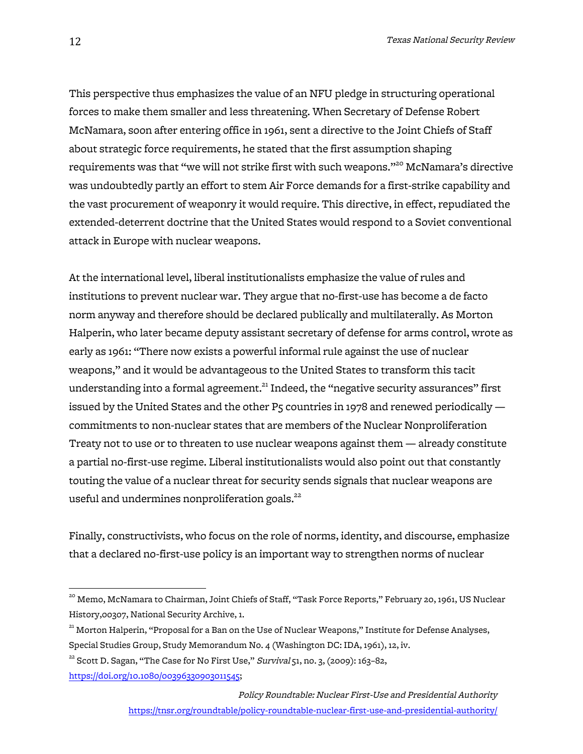This perspective thus emphasizes the value of an NFU pledge in structuring operational forces to make them smaller and less threatening. When Secretary of Defense Robert McNamara, soon after entering office in 1961, sent a directive to the Joint Chiefs of Staff about strategic force requirements, he stated that the first assumption shaping requirements was that "we will not strike first with such weapons."20 McNamara's directive was undoubtedly partly an effort to stem Air Force demands for a first-strike capability and the vast procurement of weaponry it would require. This directive, in effect, repudiated the extended-deterrent doctrine that the United States would respond to a Soviet conventional attack in Europe with nuclear weapons.

At the international level, liberal institutionalists emphasize the value of rules and institutions to prevent nuclear war. They argue that no-first-use has become a de facto norm anyway and therefore should be declared publically and multilaterally. As Morton Halperin, who later became deputy assistant secretary of defense for arms control, wrote as early as 1961: "There now exists a powerful informal rule against the use of nuclear weapons," and it would be advantageous to the United States to transform this tacit understanding into a formal agreement.<sup>21</sup> Indeed, the "negative security assurances" first issued by the United States and the other P5 countries in 1978 and renewed periodically commitments to non-nuclear states that are members of the Nuclear Nonproliferation Treaty not to use or to threaten to use nuclear weapons against them — already constitute a partial no-first-use regime. Liberal institutionalists would also point out that constantly touting the value of a nuclear threat for security sends signals that nuclear weapons are useful and undermines nonproliferation goals.<sup>22</sup>

Finally, constructivists, who focus on the role of norms, identity, and discourse, emphasize that a declared no-first-use policy is an important way to strengthen norms of nuclear

<sup>&</sup>lt;sup>20</sup> Memo, McNamara to Chairman, Joint Chiefs of Staff, "Task Force Reports," February 20, 1961, US Nuclear History,00307, National Security Archive, 1.

<sup>&</sup>lt;sup>21</sup> Morton Halperin, "Proposal for a Ban on the Use of Nuclear Weapons," Institute for Defense Analyses, Special Studies Group, Study Memorandum No. 4 (Washington DC: IDA, 1961), 12, iv.

 $22$  Scott D. Sagan, "The Case for No First Use," Survival 51, no. 3, (2009): 163-82,

https://doi.org/10.1080/00396330903011545;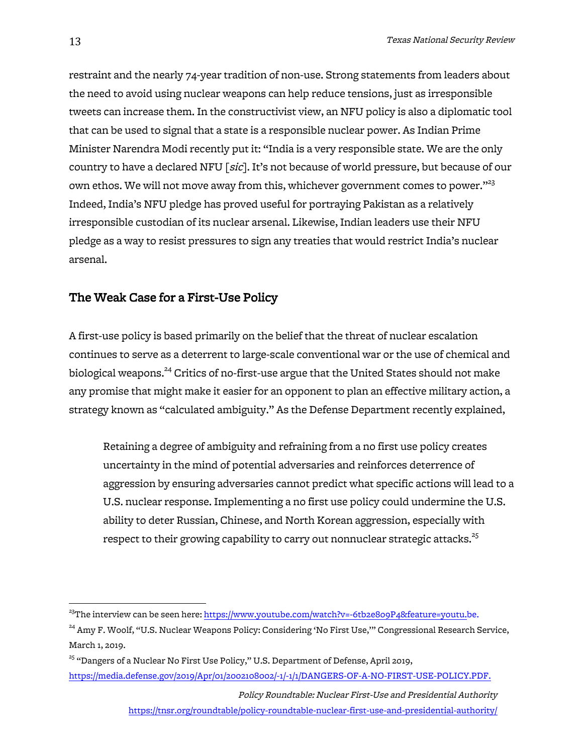restraint and the nearly 74-year tradition of non-use. Strong statements from leaders about the need to avoid using nuclear weapons can help reduce tensions, just as irresponsible tweets can increase them. In the constructivist view, an NFU policy is also a diplomatic tool that can be used to signal that a state is a responsible nuclear power. As Indian Prime Minister Narendra Modi recently put it: "India is a very responsible state. We are the only country to have a declared NFU [sic]. It's not because of world pressure, but because of our own ethos. We will not move away from this, whichever government comes to power. $123}$ Indeed, India's NFU pledge has proved useful for portraying Pakistan as a relatively irresponsible custodian of its nuclear arsenal. Likewise, Indian leaders use their NFU pledge as a way to resist pressures to sign any treaties that would restrict India's nuclear arsenal.

# The Weak Case for a First-Use Policy

A first-use policy is based primarily on the belief that the threat of nuclear escalation continues to serve as a deterrent to large-scale conventional war or the use of chemical and biological weapons.<sup>24</sup> Critics of no-first-use argue that the United States should not make any promise that might make it easier for an opponent to plan an effective military action, a strategy known as "calculated ambiguity." As the Defense Department recently explained,

Retaining a degree of ambiguity and refraining from a no first use policy creates uncertainty in the mind of potential adversaries and reinforces deterrence of aggression by ensuring adversaries cannot predict what specific actions will lead to a U.S. nuclear response. Implementing a no first use policy could undermine the U.S. ability to deter Russian, Chinese, and North Korean aggression, especially with respect to their growing capability to carry out nonnuclear strategic attacks.<sup>25</sup>

Policy Roundtable: Nuclear First-Use and Presidential Authority https://tnsr.org/roundtable/policy-roundtable-nuclear-first-use-and-presidential-authority/

 $^{23}$ The interview can be seen here: https://www.youtube.com/watch?v=-6tb2e8o9P4&feature=youtu.be.

<sup>&</sup>lt;sup>24</sup> Amy F. Woolf, "U.S. Nuclear Weapons Policy: Considering 'No First Use," Congressional Research Service, March 1, 2019.

<sup>&</sup>lt;sup>25</sup> "Dangers of a Nuclear No First Use Policy," U.S. Department of Defense, April 2019, https://media.defense.gov/2019/Apr/01/2002108002/-1/-1/1/DANGERS-OF-A-NO-FIRST-USE-POLICY.PDF.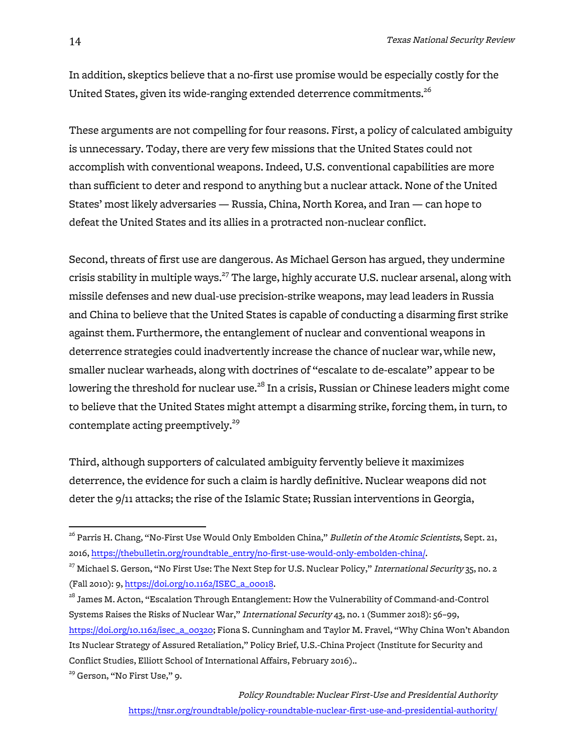In addition, skeptics believe that a no-first use promise would be especially costly for the United States, given its wide-ranging extended deterrence commitments.<sup>26</sup>

These arguments are not compelling for four reasons. First, a policy of calculated ambiguity is unnecessary. Today, there are very few missions that the United States could not accomplish with conventional weapons. Indeed, U.S. conventional capabilities are more than sufficient to deter and respond to anything but a nuclear attack. None of the United States' most likely adversaries — Russia, China, North Korea, and Iran — can hope to defeat the United States and its allies in a protracted non-nuclear conflict.

Second, threats of first use are dangerous. As Michael Gerson has argued, they undermine crisis stability in multiple ways.<sup>27</sup> The large, highly accurate U.S. nuclear arsenal, along with missile defenses and new dual-use precision-strike weapons, may lead leaders in Russia and China to believe that the United States is capable of conducting a disarming first strike against them.Furthermore, the entanglement of nuclear and conventional weapons in deterrence strategies could inadvertently increase the chance of nuclear war,while new, smaller nuclear warheads, along with doctrines of "escalate to de-escalate" appear to be lowering the threshold for nuclear use.<sup>28</sup> In a crisis, Russian or Chinese leaders might come to believe that the United States might attempt a disarming strike, forcing them, in turn, to contemplate acting preemptively.<sup>29</sup>

Third, although supporters of calculated ambiguity fervently believe it maximizes deterrence, the evidence for such a claim is hardly definitive. Nuclear weapons did not deter the 9/11 attacks; the rise of the Islamic State; Russian interventions in Georgia,

<sup>&</sup>lt;sup>26</sup> Parris H. Chang, "No-First Use Would Only Embolden China," *Bulletin of the Atomic Scientists*, Sept. 21, 2016, https://thebulletin.org/roundtable\_entry/no-first-use-would-only-embolden-china/.

<sup>&</sup>lt;sup>27</sup> Michael S. Gerson, "No First Use: The Next Step for U.S. Nuclear Policy," International Security 35, no. 2 (Fall 2010): 9, https://doi.org/10.1162/ISEC\_a\_00018.

<sup>&</sup>lt;sup>28</sup> James M. Acton, "Escalation Through Entanglement: How the Vulnerability of Command-and-Control Systems Raises the Risks of Nuclear War," International Security 43, no. 1 (Summer 2018): 56–99, https://doi.org/10.1162/isec\_a\_00320; Fiona S. Cunningham and Taylor M. Fravel, "Why China Won't Abandon Its Nuclear Strategy of Assured Retaliation," Policy Brief, U.S.-China Project (Institute for Security and Conflict Studies, Elliott School of International Affairs, February 2016)..

<sup>&</sup>lt;sup>29</sup> Gerson, "No First Use," 9.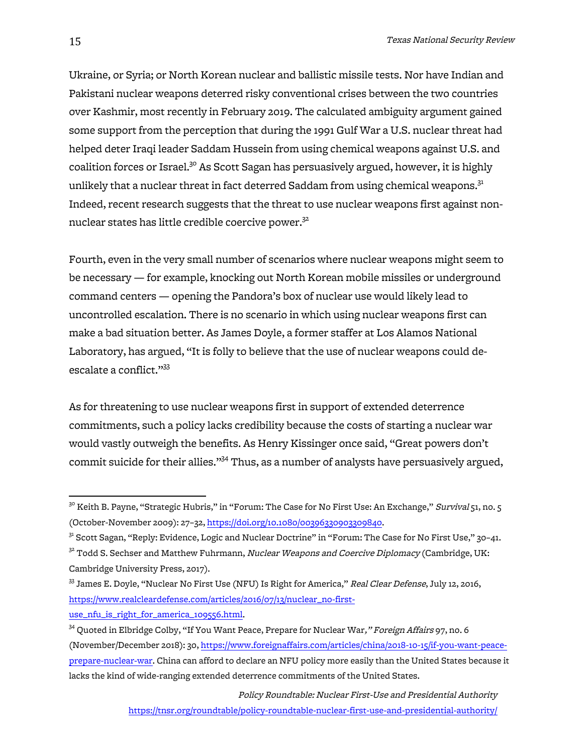Ukraine, or Syria; or North Korean nuclear and ballistic missile tests. Nor have Indian and Pakistani nuclear weapons deterred risky conventional crises between the two countries over Kashmir, most recently in February 2019. The calculated ambiguity argument gained some support from the perception that during the 1991 Gulf War a U.S. nuclear threat had helped deter Iraqi leader Saddam Hussein from using chemical weapons against U.S. and coalition forces or Israel.<sup>30</sup> As Scott Sagan has persuasively argued, however, it is highly unlikely that a nuclear threat in fact deterred Saddam from using chemical weapons.<sup>31</sup> Indeed, recent research suggests that the threat to use nuclear weapons first against nonnuclear states has little credible coercive power.<sup>32</sup>

Fourth, even in the very small number of scenarios where nuclear weapons might seem to be necessary — for example, knocking out North Korean mobile missiles or underground command centers — opening the Pandora's box of nuclear use would likely lead to uncontrolled escalation. There is no scenario in which using nuclear weapons first can make a bad situation better. As James Doyle, a former staffer at Los Alamos National Laboratory, has argued, "It is folly to believe that the use of nuclear weapons could deescalate a conflict."<sup>33</sup>

As for threatening to use nuclear weapons first in support of extended deterrence commitments, such a policy lacks credibility because the costs of starting a nuclear war would vastly outweigh the benefits. As Henry Kissinger once said, "Great powers don't commit suicide for their allies."<sup>34</sup> Thus, as a number of analysts have persuasively argued,

Policy Roundtable: Nuclear First-Use and Presidential Authority https://tnsr.org/roundtable/policy-roundtable-nuclear-first-use-and-presidential-authority/

 $3^\circ$  Keith B. Payne, "Strategic Hubris," in "Forum: The Case for No First Use: An Exchange," *Survival* 51, no. 5 (October-November 2009): 27–32, https://doi.org/10.1080/00396330903309840.

<sup>31</sup> Scott Sagan, "Reply: Evidence, Logic and Nuclear Doctrine" in "Forum: The Case for No First Use," 30–41.

 $32$  Todd S. Sechser and Matthew Fuhrmann, Nuclear Weapons and Coercive Diplomacy (Cambridge, UK: Cambridge University Press, 2017).

<sup>&</sup>lt;sup>33</sup> James E. Doyle, "Nuclear No First Use (NFU) Is Right for America," Real Clear Defense, July 12, 2016, https://www.realcleardefense.com/articles/2016/07/13/nuclear\_no-firstuse\_nfu\_is\_right\_for\_america\_109556.html.

<sup>&</sup>lt;sup>34</sup> Quoted in Elbridge Colby, "If You Want Peace, Prepare for Nuclear War," Foreign Affairs 97, no. 6 (November/December 2018): 30, https://www.foreignaffairs.com/articles/china/2018-10-15/if-you-want-peaceprepare-nuclear-war. China can afford to declare an NFU policy more easily than the United States because it lacks the kind of wide-ranging extended deterrence commitments of the United States.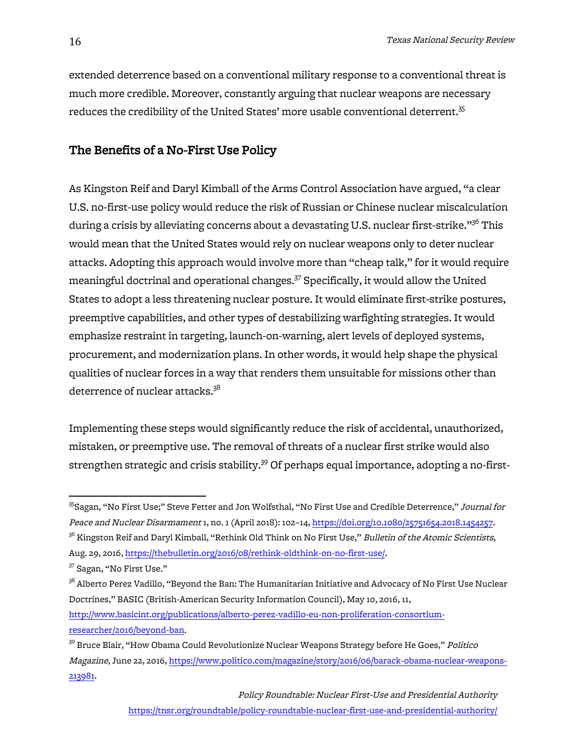extended deterrence based on a conventional military response to a conventional threat is much more credible. Moreover, constantly arguing that nuclear weapons are necessary reduces the credibility of the United States' more usable conventional deterrent.<sup>35</sup>

#### The Benefits of a No-First Use Policy

As Kingston Reif and Daryl Kimball of the Arms Control Association have argued, "a clear U.S. no-first-use policy would reduce the risk of Russian or Chinese nuclear miscalculation during a crisis by alleviating concerns about a devastating U.S. nuclear first-strike."<sup>36</sup> This would mean that the United States would rely on nuclear weapons only to deter nuclear attacks. Adopting this approach would involve more than "cheap talk," for it would require meaningful doctrinal and operational changes.<sup>37</sup> Specifically, it would allow the United States to adopt a less threatening nuclear posture. It would eliminate first-strike postures, preemptive capabilities, and other types of destabilizing warfighting strategies. It would emphasize restraint in targeting, launch-on-warning, alert levels of deployed systems, procurement, and modernization plans. In other words, it would help shape the physical qualities of nuclear forces in a way that renders them unsuitable for missions other than deterrence of nuclear attacks.<sup>38</sup>

Implementing these steps would significantly reduce the risk of accidental, unauthorized, mistaken, or preemptive use. The removal of threats of a nuclear first strike would also strengthen strategic and crisis stability.<sup>39</sup> Of perhaps equal importance, adopting a no-first-

<sup>37</sup> Sagan, "No First Use."

<sup>&</sup>lt;sup>35</sup>Sagan, "No First Use;" Steve Fetter and Jon Wolfsthal, "No First Use and Credible Deterrence," *Journal for* Peace and Nuclear Disarmament 1, no. 1 (April 2018): 102–14, https://doi.org/10.1080/25751654.2018.1454257. <sup>36</sup> Kingston Reif and Daryl Kimball, "Rethink Old Think on No First Use," *Bulletin of the Atomic Scientists*, Aug. 29, 2016, https://thebulletin.org/2016/08/rethink-oldthink-on-no-first-use/.

<sup>&</sup>lt;sup>38</sup> Alberto Perez Vadillo, "Beyond the Ban: The Humanitarian Initiative and Advocacy of No First Use Nuclear Doctrines," BASIC (British-American Security Information Council), May 10, 2016, 11, http://www.basicint.org/publications/alberto-perez-vadillo-eu-non-proliferation-consortiumresearcher/2016/beyond-ban.

<sup>&</sup>lt;sup>39</sup> Bruce Blair, "How Obama Could Revolutionize Nuclear Weapons Strategy before He Goes," *Politico* Magazine, June 22, 2016, https://www.politico.com/magazine/story/2016/06/barack-obama-nuclear-weapons-213981.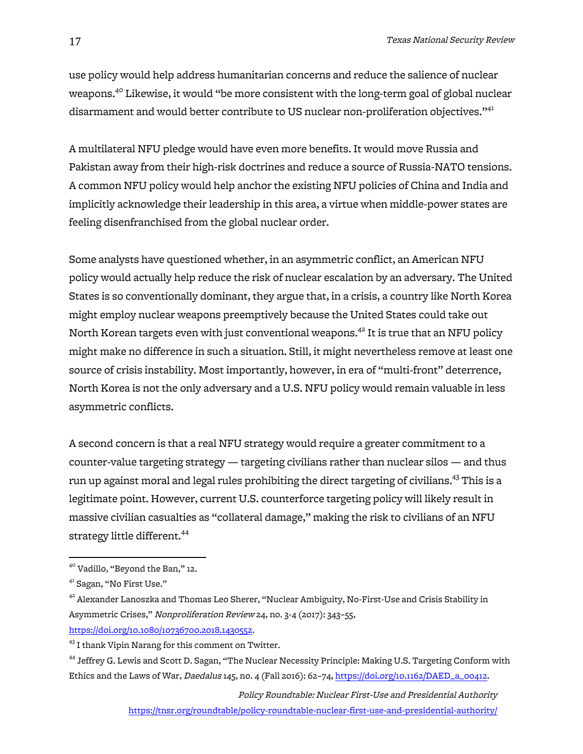use policy would help address humanitarian concerns and reduce the salience of nuclear weapons.<sup>40</sup> Likewise, it would "be more consistent with the long-term goal of global nuclear disarmament and would better contribute to US nuclear non-proliferation objectives."<sup>41</sup>

A multilateral NFU pledge would have even more benefits. It would move Russia and Pakistan away from their high-risk doctrines and reduce a source of Russia-NATO tensions. A common NFU policy would help anchor the existing NFU policies of China and India and implicitly acknowledge their leadership in this area, a virtue when middle-power states are feeling disenfranchised from the global nuclear order.

Some analysts have questioned whether, in an asymmetric conflict, an American NFU policy would actually help reduce the risk of nuclear escalation by an adversary. The United States is so conventionally dominant, they argue that, in a crisis, a country like North Korea might employ nuclear weapons preemptively because the United States could take out North Korean targets even with just conventional weapons.<sup>42</sup> It is true that an NFU policy might make no difference in such a situation. Still, it might nevertheless remove at least one source of crisis instability. Most importantly, however, in era of "multi-front" deterrence, North Korea is not the only adversary and a U.S. NFU policy would remain valuable in less asymmetric conflicts.

A second concern is that a real NFU strategy would require a greater commitment to a counter-value targeting strategy — targeting civilians rather than nuclear silos — and thus run up against moral and legal rules prohibiting the direct targeting of civilians.<sup>43</sup> This is a legitimate point. However, current U.S. counterforce targeting policy will likely result in massive civilian casualties as "collateral damage," making the risk to civilians of an NFU strategy little different.<sup>44</sup>

Policy Roundtable: Nuclear First-Use and Presidential Authority

https://tnsr.org/roundtable/policy-roundtable-nuclear-first-use-and-presidential-authority/

 <sup>40</sup> Vadillo, "Beyond the Ban," 12.

<sup>41</sup> Sagan, "No First Use."

 $^{42}$  Alexander Lanoszka and Thomas Leo Sherer, "Nuclear Ambiguity, No-First-Use and Crisis Stability in Asymmetric Crises," Nonproliferation Review 24, no. 3-4 (2017): 343–55, https://doi.org/10.1080/10736700.2018.1430552.

<sup>&</sup>lt;sup>43</sup> I thank Vipin Narang for this comment on Twitter.

<sup>&</sup>lt;sup>44</sup> Jeffrey G. Lewis and Scott D. Sagan, "The Nuclear Necessity Principle: Making U.S. Targeting Conform with Ethics and the Laws of War, Daedalus 145, no. 4 (Fall 2016): 62-74, https://doi.org/10.1162/DAED\_a\_00412.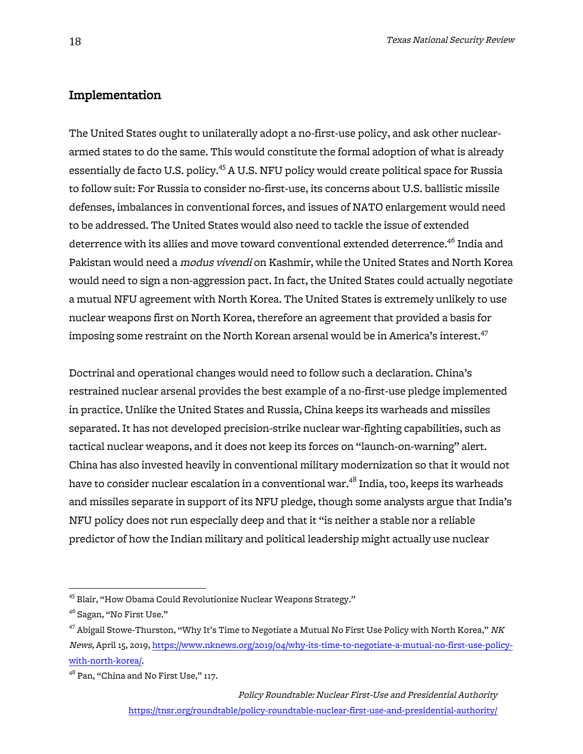# Implementation

The United States ought to unilaterally adopt a no-first-use policy, and ask other nucleararmed states to do the same. This would constitute the formal adoption of what is already essentially de facto U.S. policy.<sup>45</sup> A U.S. NFU policy would create political space for Russia to follow suit: For Russia to consider no-first-use, its concerns about U.S. ballistic missile defenses, imbalances in conventional forces, and issues of NATO enlargement would need to be addressed. The United States would also need to tackle the issue of extended deterrence with its allies and move toward conventional extended deterrence.<sup>46</sup> India and Pakistan would need a modus vivendi on Kashmir, while the United States and North Korea would need to sign a non-aggression pact. In fact, the United States could actually negotiate a mutual NFU agreement with North Korea. The United States is extremely unlikely to use nuclear weapons first on North Korea, therefore an agreement that provided a basis for imposing some restraint on the North Korean arsenal would be in America's interest.<sup>47</sup>

Doctrinal and operational changes would need to follow such a declaration. China's restrained nuclear arsenal provides the best example of a no-first-use pledge implemented in practice. Unlike the United States and Russia, China keeps its warheads and missiles separated. It has not developed precision-strike nuclear war-fighting capabilities, such as tactical nuclear weapons, and it does not keep its forces on "launch-on-warning" alert. China has also invested heavily in conventional military modernization so that it would not have to consider nuclear escalation in a conventional war.<sup>48</sup> India, too, keeps its warheads and missiles separate in support of its NFU pledge, though some analysts argue that India's NFU policy does not run especially deep and that it "is neither a stable nor a reliable predictor of how the Indian military and political leadership might actually use nuclear

<sup>&</sup>lt;sup>45</sup> Blair, "How Obama Could Revolutionize Nuclear Weapons Strategy."

<sup>&</sup>lt;sup>46</sup> Sagan, "No First Use."

 $^{47}$  Abigail Stowe-Thurston, "Why It's Time to Negotiate a Mutual No First Use Policy with North Korea,"  $NK$ News, April 15, 2019, https://www.nknews.org/2019/04/why-its-time-to-negotiate-a-mutual-no-first-use-policywith-north-korea/.

<sup>&</sup>lt;sup>48</sup> Pan, "China and No First Use," 117.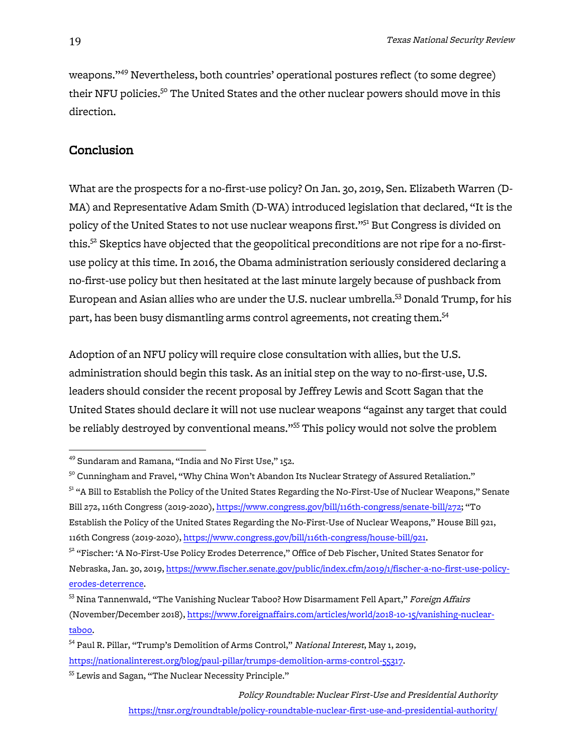weapons."49 Nevertheless, both countries' operational postures reflect (to some degree) their NFU policies.<sup>50</sup> The United States and the other nuclear powers should move in this direction.

## Conclusion

What are the prospects for a no-first-use policy? On Jan. 30, 2019, Sen. Elizabeth Warren (D-MA) and Representative Adam Smith (D-WA) introduced legislation that declared, "It is the policy of the United States to not use nuclear weapons first."51 But Congress is divided on this.<sup>52</sup> Skeptics have objected that the geopolitical preconditions are not ripe for a no-firstuse policy at this time. In 2016, the Obama administration seriously considered declaring a no-first-use policy but then hesitated at the last minute largely because of pushback from European and Asian allies who are under the U.S. nuclear umbrella.53 Donald Trump, for his part, has been busy dismantling arms control agreements, not creating them.<sup>54</sup>

Adoption of an NFU policy will require close consultation with allies, but the U.S. administration should begin this task. As an initial step on the way to no-first-use, U.S. leaders should consider the recent proposal by Jeffrey Lewis and Scott Sagan that the United States should declare it will not use nuclear weapons "against any target that could be reliably destroyed by conventional means."<sup>55</sup> This policy would not solve the problem

<sup>55</sup> Lewis and Sagan, "The Nuclear Necessity Principle."

Policy Roundtable: Nuclear First-Use and Presidential Authority https://tnsr.org/roundtable/policy-roundtable-nuclear-first-use-and-presidential-authority/

<sup>&</sup>lt;sup>49</sup> Sundaram and Ramana, "India and No First Use," 152.

 $5^\circ$  Cunningham and Fravel, "Why China Won't Abandon Its Nuclear Strategy of Assured Retaliation."

<sup>&</sup>lt;sup>51</sup> "A Bill to Establish the Policy of the United States Regarding the No-First-Use of Nuclear Weapons," Senate Bill 272, 116th Congress (2019-2020), https://www.congress.gov/bill/116th-congress/senate-bill/272; "To Establish the Policy of the United States Regarding the No-First-Use of Nuclear Weapons," House Bill 921, 116th Congress (2019-2020), https://www.congress.gov/bill/116th-congress/house-bill/921.

<sup>&</sup>lt;sup>52</sup> "Fischer: 'A No-First-Use Policy Erodes Deterrence," Office of Deb Fischer, United States Senator for Nebraska, Jan. 30, 2019, https://www.fischer.senate.gov/public/index.cfm/2019/1/fischer-a-no-first-use-policyerodes-deterrence.

<sup>&</sup>lt;sup>53</sup> Nina Tannenwald, "The Vanishing Nuclear Taboo? How Disarmament Fell Apart," Foreign Affairs (November/December 2018), https://www.foreignaffairs.com/articles/world/2018-10-15/vanishing-nucleartaboo.

<sup>&</sup>lt;sup>54</sup> Paul R. Pillar, "Trump's Demolition of Arms Control," National Interest, May 1, 2019, https://nationalinterest.org/blog/paul-pillar/trumps-demolition-arms-control-55317.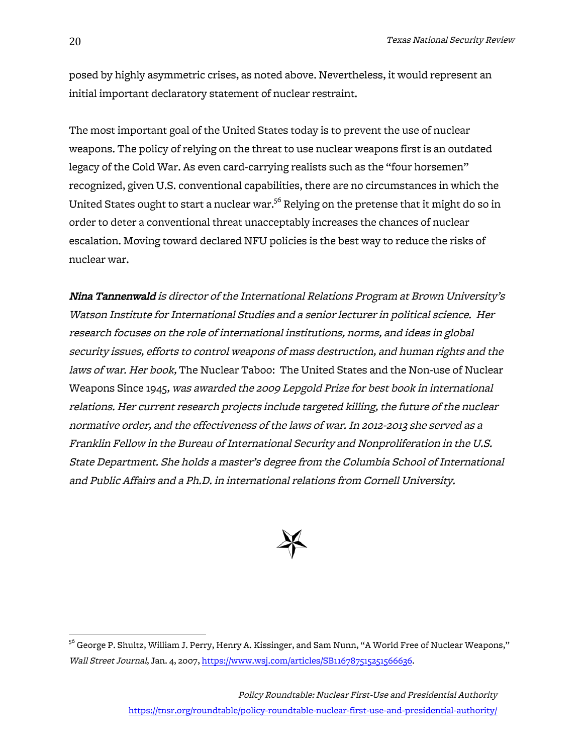posed by highly asymmetric crises, as noted above. Nevertheless, it would represent an initial important declaratory statement of nuclear restraint.

The most important goal of the United States today is to prevent the use of nuclear weapons. The policy of relying on the threat to use nuclear weapons first is an outdated legacy of the Cold War. As even card-carrying realists such as the "four horsemen" recognized, given U.S. conventional capabilities, there are no circumstances in which the United States ought to start a nuclear war.<sup>56</sup> Relying on the pretense that it might do so in order to deter a conventional threat unacceptably increases the chances of nuclear escalation. Moving toward declared NFU policies is the best way to reduce the risks of nuclear war.

Nina Tannenwald is director of the International Relations Program at Brown University's Watson Institute for International Studies and a senior lecturer in political science. Her research focuses on the role of international institutions, norms, and ideas in global security issues, efforts to control weapons of mass destruction, and human rights and the laws of war. Her book, The Nuclear Taboo: The United States and the Non-use of Nuclear Weapons Since 1945, was awarded the 2009 Lepgold Prize for best book in international relations. Her current research projects include targeted killing, the future of the nuclear normative order, and the effectiveness of the laws of war. In 2012-2013 she served as a Franklin Fellow in the Bureau of International Security and Nonproliferation in the U.S. State Department. She holds a master's degree from the Columbia School of International and Public Affairs and a Ph.D. in international relations from Cornell University.



 $^{56}$  George P. Shultz, William J. Perry, Henry A. Kissinger, and Sam Nunn, "A World Free of Nuclear Weapons," Wall Street Journal, Jan. 4, 2007, https://www.wsj.com/articles/SB116787515251566636.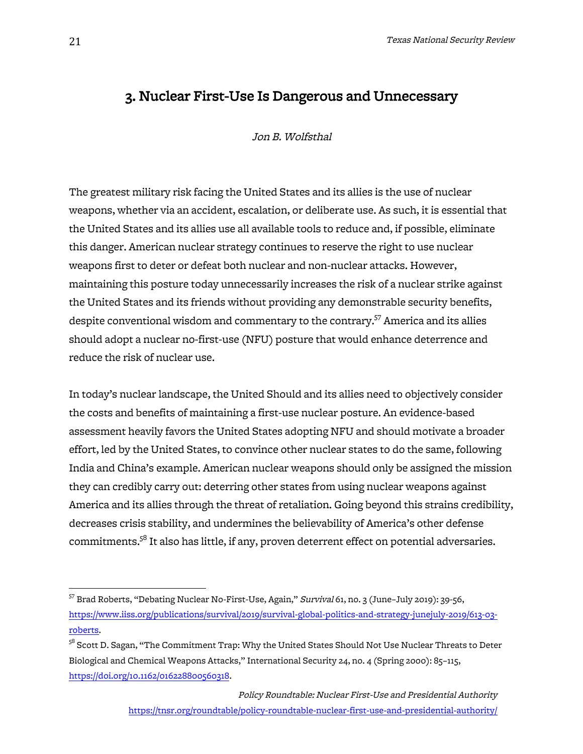# 3. Nuclear First-Use Is Dangerous and Unnecessary

Jon B. Wolfsthal

The greatest military risk facing the United States and its allies is the use of nuclear weapons, whether via an accident, escalation, or deliberate use. As such, it is essential that the United States and its allies use all available tools to reduce and, if possible, eliminate this danger. American nuclear strategy continues to reserve the right to use nuclear weapons first to deter or defeat both nuclear and non-nuclear attacks. However, maintaining this posture today unnecessarily increases the risk of a nuclear strike against the United States and its friends without providing any demonstrable security benefits, despite conventional wisdom and commentary to the contrary.<sup>57</sup> America and its allies should adopt a nuclear no-first-use (NFU) posture that would enhance deterrence and reduce the risk of nuclear use.

In today's nuclear landscape, the United Should and its allies need to objectively consider the costs and benefits of maintaining a first-use nuclear posture. An evidence-based assessment heavily favors the United States adopting NFU and should motivate a broader effort, led by the United States, to convince other nuclear states to do the same, following India and China's example. American nuclear weapons should only be assigned the mission they can credibly carry out: deterring other states from using nuclear weapons against America and its allies through the threat of retaliation. Going beyond this strains credibility, decreases crisis stability, and undermines the believability of America's other defense commitments.<sup>58</sup> It also has little, if any, proven deterrent effect on potential adversaries.

<sup>&</sup>lt;sup>57</sup> Brad Roberts, "Debating Nuclear No-First-Use, Again," Survival 61, no. 3 (June-July 2019): 39-56, https://www.iiss.org/publications/survival/2019/survival-global-politics-and-strategy-junejuly-2019/613-03 roberts.

 $58$  Scott D. Sagan, "The Commitment Trap: Why the United States Should Not Use Nuclear Threats to Deter Biological and Chemical Weapons Attacks," International Security 24, no. 4 (Spring 2000): 85–115, https://doi.org/10.1162/016228800560318.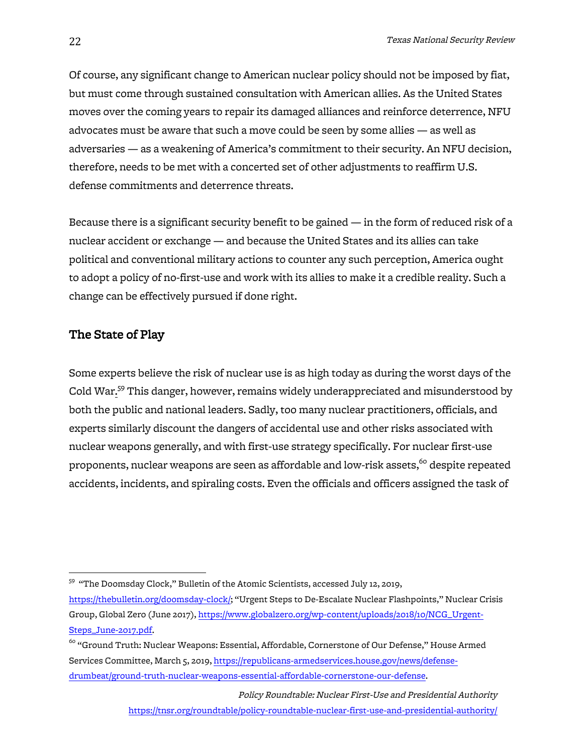Of course, any significant change to American nuclear policy should not be imposed by fiat, but must come through sustained consultation with American allies. As the United States moves over the coming years to repair its damaged alliances and reinforce deterrence, NFU advocates must be aware that such a move could be seen by some allies — as well as adversaries — as a weakening of America's commitment to their security. An NFU decision, therefore, needs to be met with a concerted set of other adjustments to reaffirm U.S. defense commitments and deterrence threats.

Because there is a significant security benefit to be gained — in the form of reduced risk of a nuclear accident or exchange — and because the United States and its allies can take political and conventional military actions to counter any such perception, America ought to adopt a policy of no-first-use and work with its allies to make it a credible reality. Such a change can be effectively pursued if done right.

# The State of Play

Some experts believe the risk of nuclear use is as high today as during the worst days of the Cold War.<sup>59</sup> This danger, however, remains widely underappreciated and misunderstood by both the public and national leaders. Sadly, too many nuclear practitioners, officials, and experts similarly discount the dangers of accidental use and other risks associated with nuclear weapons generally, and with first-use strategy specifically. For nuclear first-use proponents, nuclear weapons are seen as affordable and low-risk assets,<sup>60</sup> despite repeated accidents, incidents, and spiraling costs. Even the officials and officers assigned the task of

Policy Roundtable: Nuclear First-Use and Presidential Authority https://tnsr.org/roundtable/policy-roundtable-nuclear-first-use-and-presidential-authority/

 59 "The Doomsday Clock," Bulletin of the Atomic Scientists, accessed July 12, 2019,

https://thebulletin.org/doomsday-clock/; "Urgent Steps to De-Escalate Nuclear Flashpoints," Nuclear Crisis Group, Global Zero (June 2017), https://www.globalzero.org/wp-content/uploads/2018/10/NCG\_Urgent-Steps\_June-2017.pdf.

 $^{60}$  "Ground Truth: Nuclear Weapons: Essential, Affordable, Cornerstone of Our Defense," House Armed Services Committee, March 5, 2019, https://republicans-armedservices.house.gov/news/defensedrumbeat/ground-truth-nuclear-weapons-essential-affordable-cornerstone-our-defense.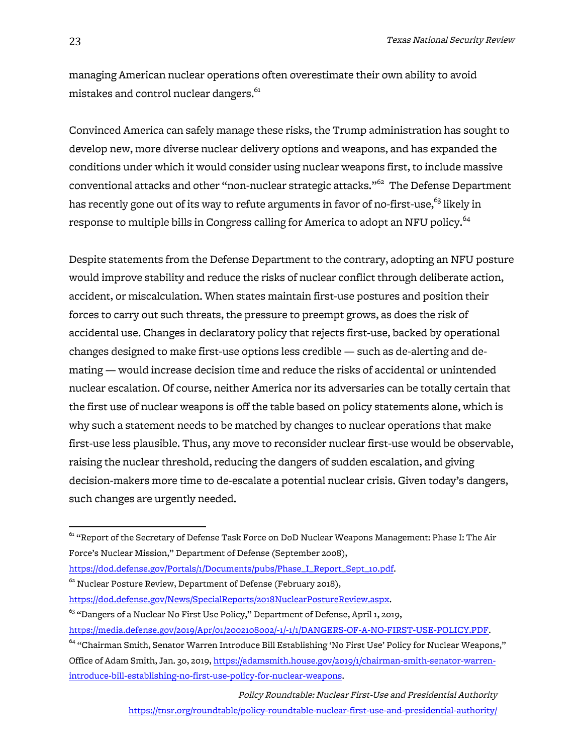managing American nuclear operations often overestimate their own ability to avoid mistakes and control nuclear dangers.<sup>61</sup>

Convinced America can safely manage these risks, the Trump administration has sought to develop new, more diverse nuclear delivery options and weapons, and has expanded the conditions under which it would consider using nuclear weapons first, to include massive conventional attacks and other "non-nuclear strategic attacks."<sup>62</sup> The Defense Department has recently gone out of its way to refute arguments in favor of no-first-use,<sup>63</sup> likely in response to multiple bills in Congress calling for America to adopt an NFU policy.<sup>64</sup>

Despite statements from the Defense Department to the contrary, adopting an NFU posture would improve stability and reduce the risks of nuclear conflict through deliberate action, accident, or miscalculation. When states maintain first-use postures and position their forces to carry out such threats, the pressure to preempt grows, as does the risk of accidental use. Changes in declaratory policy that rejects first-use, backed by operational changes designed to make first-use options less credible — such as de-alerting and demating — would increase decision time and reduce the risks of accidental or unintended nuclear escalation. Of course, neither America nor its adversaries can be totally certain that the first use of nuclear weapons is off the table based on policy statements alone, which is why such a statement needs to be matched by changes to nuclear operations that make first-use less plausible. Thus, any move to reconsider nuclear first-use would be observable, raising the nuclear threshold, reducing the dangers of sudden escalation, and giving decision-makers more time to de-escalate a potential nuclear crisis. Given today's dangers, such changes are urgently needed.

Policy Roundtable: Nuclear First-Use and Presidential Authority https://tnsr.org/roundtable/policy-roundtable-nuclear-first-use-and-presidential-authority/

 $^{61}$  "Report of the Secretary of Defense Task Force on DoD Nuclear Weapons Management: Phase I: The Air Force's Nuclear Mission," Department of Defense (September 2008),

https://dod.defense.gov/Portals/1/Documents/pubs/Phase\_I\_Report\_Sept\_10.pdf.

 $^{62}$  Nuclear Posture Review, Department of Defense (February 2018),

https://dod.defense.gov/News/SpecialReports/2018NuclearPostureReview.aspx.

<sup>&</sup>lt;sup>63</sup> "Dangers of a Nuclear No First Use Policy," Department of Defense, April 1, 2019,

https://media.defense.gov/2019/Apr/01/2002108002/-1/-1/1/DANGERS-OF-A-NO-FIRST-USE-POLICY.PDF.

<sup>&</sup>lt;sup>64</sup> "Chairman Smith, Senator Warren Introduce Bill Establishing 'No First Use' Policy for Nuclear Weapons," Office of Adam Smith, Jan. 30, 2019, https://adamsmith.house.gov/2019/1/chairman-smith-senator-warrenintroduce-bill-establishing-no-first-use-policy-for-nuclear-weapons.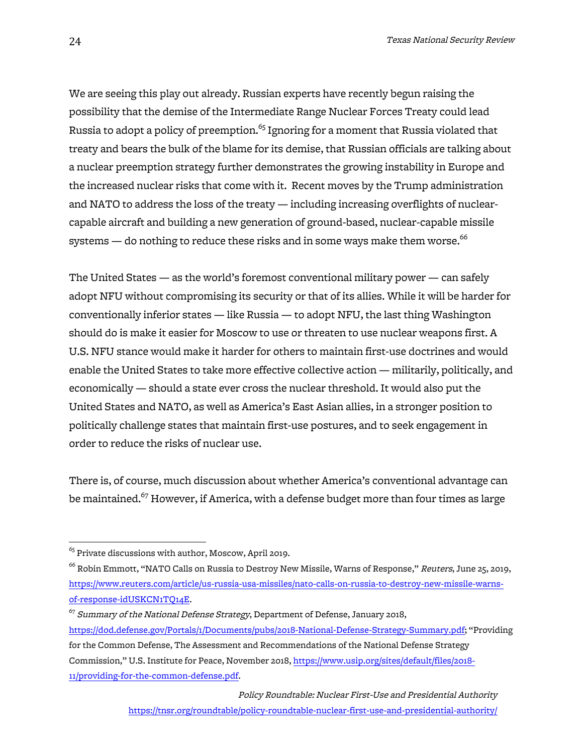We are seeing this play out already. Russian experts have recently begun raising the possibility that the demise of the Intermediate Range Nuclear Forces Treaty could lead Russia to adopt a policy of preemption.<sup>65</sup> Ignoring for a moment that Russia violated that treaty and bears the bulk of the blame for its demise, that Russian officials are talking about a nuclear preemption strategy further demonstrates the growing instability in Europe and the increased nuclear risks that come with it. Recent moves by the Trump administration and NATO to address the loss of the treaty — including increasing overflights of nuclearcapable aircraft and building a new generation of ground-based, nuclear-capable missile systems  $-$  do nothing to reduce these risks and in some ways make them worse. $^{66}$ 

The United States — as the world's foremost conventional military power — can safely adopt NFU without compromising its security or that of its allies. While it will be harder for conventionally inferior states — like Russia — to adopt NFU, the last thing Washington should do is make it easier for Moscow to use or threaten to use nuclear weapons first. A U.S. NFU stance would make it harder for others to maintain first-use doctrines and would enable the United States to take more effective collective action — militarily, politically, and economically — should a state ever cross the nuclear threshold. It would also put the United States and NATO, as well as America's East Asian allies, in a stronger position to politically challenge states that maintain first-use postures, and to seek engagement in order to reduce the risks of nuclear use.

There is, of course, much discussion about whether America's conventional advantage can be maintained.<sup>67</sup> However, if America, with a defense budget more than four times as large

 $^{65}$  Private discussions with author, Moscow, April 2019.

<sup>&</sup>lt;sup>66</sup> Robin Emmott, "NATO Calls on Russia to Destroy New Missile, Warns of Response," *Reuters*, June 25, 2019, https://www.reuters.com/article/us-russia-usa-missiles/nato-calls-on-russia-to-destroy-new-missile-warnsof-response-idUSKCN1TQ14E.

 $^{67}$  Summary of the National Defense Strategy, Department of Defense, January 2018, https://dod.defense.gov/Portals/1/Documents/pubs/2018-National-Defense-Strategy-Summary.pdf; "Providing for the Common Defense, The Assessment and Recommendations of the National Defense Strategy Commission," U.S. Institute for Peace, November 2018, https://www.usip.org/sites/default/files/2018- 11/providing-for-the-common-defense.pdf.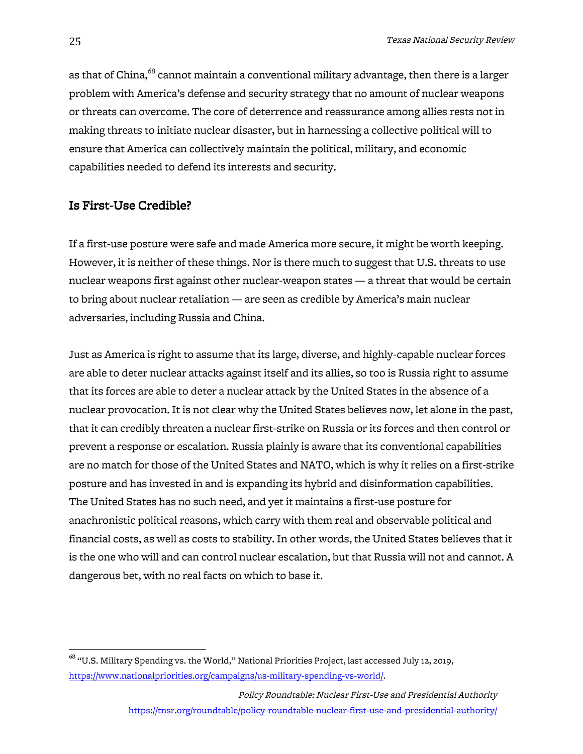as that of China,<sup>68</sup> cannot maintain a conventional military advantage, then there is a larger problem with America's defense and security strategy that no amount of nuclear weapons or threats can overcome. The core of deterrence and reassurance among allies rests not in making threats to initiate nuclear disaster, but in harnessing a collective political will to ensure that America can collectively maintain the political, military, and economic capabilities needed to defend its interests and security.

# Is First-Use Credible?

If a first-use posture were safe and made America more secure, it might be worth keeping. However, it is neither of these things. Nor is there much to suggest that U.S. threats to use nuclear weapons first against other nuclear-weapon states — a threat that would be certain to bring about nuclear retaliation — are seen as credible by America's main nuclear adversaries, including Russia and China.

Just as America is right to assume that its large, diverse, and highly-capable nuclear forces are able to deter nuclear attacks against itself and its allies, so too is Russia right to assume that its forces are able to deter a nuclear attack by the United States in the absence of a nuclear provocation. It is not clear why the United States believes now, let alone in the past, that it can credibly threaten a nuclear first-strike on Russia or its forces and then control or prevent a response or escalation. Russia plainly is aware that its conventional capabilities are no match for those of the United States and NATO, which is why it relies on a first-strike posture and has invested in and is expanding its hybrid and disinformation capabilities. The United States has no such need, and yet it maintains a first-use posture for anachronistic political reasons, which carry with them real and observable political and financial costs, as well as costs to stability. In other words, the United States believes that it is the one who will and can control nuclear escalation, but that Russia will not and cannot. A dangerous bet, with no real facts on which to base it.

 $^{68}$  "U.S. Military Spending vs. the World," National Priorities Project, last accessed July 12, 2019, https://www.nationalpriorities.org/campaigns/us-military-spending-vs-world/.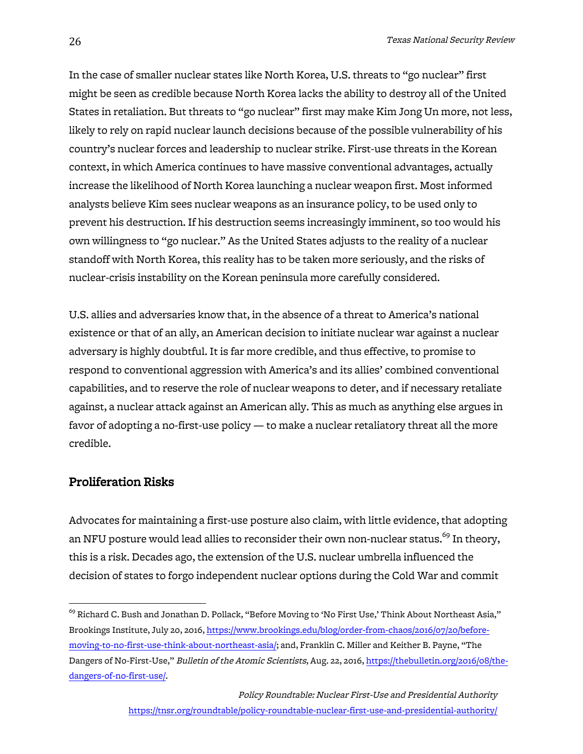In the case of smaller nuclear states like North Korea, U.S. threats to "go nuclear" first might be seen as credible because North Korea lacks the ability to destroy all of the United States in retaliation. But threats to "go nuclear" first may make Kim Jong Un more, not less, likely to rely on rapid nuclear launch decisions because of the possible vulnerability of his country's nuclear forces and leadership to nuclear strike. First-use threats in the Korean context, in which America continues to have massive conventional advantages, actually increase the likelihood of North Korea launching a nuclear weapon first. Most informed analysts believe Kim sees nuclear weapons as an insurance policy, to be used only to prevent his destruction. If his destruction seems increasingly imminent, so too would his own willingness to "go nuclear." As the United States adjusts to the reality of a nuclear standoff with North Korea, this reality has to be taken more seriously, and the risks of nuclear-crisis instability on the Korean peninsula more carefully considered.

U.S. allies and adversaries know that, in the absence of a threat to America's national existence or that of an ally, an American decision to initiate nuclear war against a nuclear adversary is highly doubtful. It is far more credible, and thus effective, to promise to respond to conventional aggression with America's and its allies' combined conventional capabilities, and to reserve the role of nuclear weapons to deter, and if necessary retaliate against, a nuclear attack against an American ally. This as much as anything else argues in favor of adopting a no-first-use policy — to make a nuclear retaliatory threat all the more credible.

## Proliferation Risks

Advocates for maintaining a first-use posture also claim, with little evidence, that adopting an NFU posture would lead allies to reconsider their own non-nuclear status.<sup>69</sup> In theory, this is a risk. Decades ago, the extension of the U.S. nuclear umbrella influenced the decision of states to forgo independent nuclear options during the Cold War and commit

 $^{69}$  Richard C. Bush and Jonathan D. Pollack, "Before Moving to 'No First Use,' Think About Northeast Asia," Brookings Institute, July 20, 2016, https://www.brookings.edu/blog/order-from-chaos/2016/07/20/beforemoving-to-no-first-use-think-about-northeast-asia/; and, Franklin C. Miller and Keither B. Payne, "The Dangers of No-First-Use," Bulletin of the Atomic Scientists, Aug. 22, 2016, https://thebulletin.org/2016/08/thedangers-of-no-first-use/.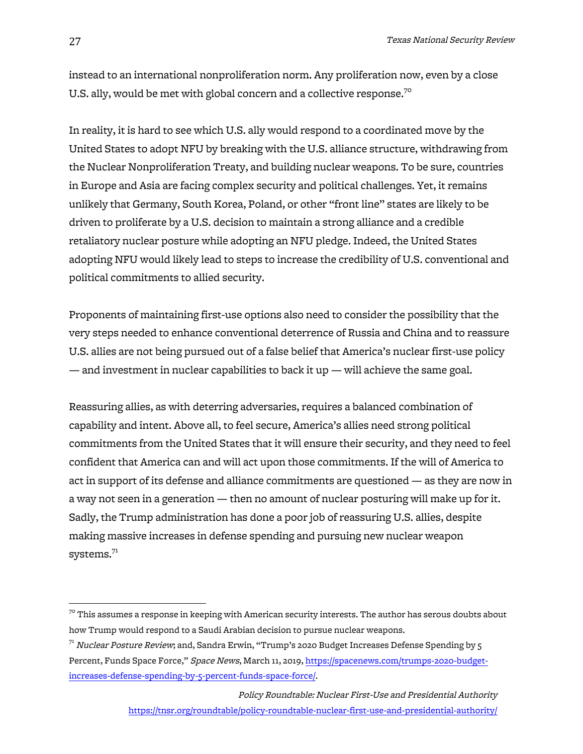instead to an international nonproliferation norm. Any proliferation now, even by a close U.S. ally, would be met with global concern and a collective response.<sup>70</sup>

In reality, it is hard to see which U.S. ally would respond to a coordinated move by the United States to adopt NFU by breaking with the U.S. alliance structure, withdrawing from the Nuclear Nonproliferation Treaty, and building nuclear weapons. To be sure, countries in Europe and Asia are facing complex security and political challenges. Yet, it remains unlikely that Germany, South Korea, Poland, or other "front line" states are likely to be driven to proliferate by a U.S. decision to maintain a strong alliance and a credible retaliatory nuclear posture while adopting an NFU pledge. Indeed, the United States adopting NFU would likely lead to steps to increase the credibility of U.S. conventional and political commitments to allied security.

Proponents of maintaining first-use options also need to consider the possibility that the very steps needed to enhance conventional deterrence of Russia and China and to reassure U.S. allies are not being pursued out of a false belief that America's nuclear first-use policy — and investment in nuclear capabilities to back it  $up$  — will achieve the same goal.

Reassuring allies, as with deterring adversaries, requires a balanced combination of capability and intent. Above all, to feel secure, America's allies need strong political commitments from the United States that it will ensure their security, and they need to feel confident that America can and will act upon those commitments. If the will of America to act in support of its defense and alliance commitments are questioned — as they are now in a way not seen in a generation — then no amount of nuclear posturing will make up for it. Sadly, the Trump administration has done a poor job of reassuring U.S. allies, despite making massive increases in defense spending and pursuing new nuclear weapon systems. $^{71}$ 

 $^{70}$  This assumes a response in keeping with American security interests. The author has serous doubts about how Trump would respond to a Saudi Arabian decision to pursue nuclear weapons.

 $71$  Nuclear Posture Review; and, Sandra Erwin, "Trump's 2020 Budget Increases Defense Spending by 5 Percent, Funds Space Force," Space News, March 11, 2019, https://spacenews.com/trumps-2020-budgetincreases-defense-spending-by-5-percent-funds-space-force/.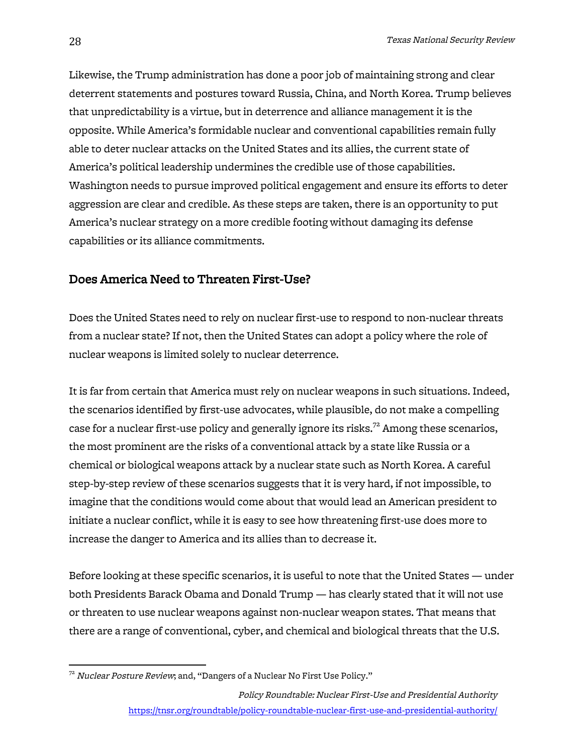Likewise, the Trump administration has done a poor job of maintaining strong and clear deterrent statements and postures toward Russia, China, and North Korea. Trump believes that unpredictability is a virtue, but in deterrence and alliance management it is the opposite. While America's formidable nuclear and conventional capabilities remain fully able to deter nuclear attacks on the United States and its allies, the current state of America's political leadership undermines the credible use of those capabilities. Washington needs to pursue improved political engagement and ensure its efforts to deter aggression are clear and credible. As these steps are taken, there is an opportunity to put America's nuclear strategy on a more credible footing without damaging its defense capabilities or its alliance commitments.

## Does America Need to Threaten First-Use?

Does the United States need to rely on nuclear first-use to respond to non-nuclear threats from a nuclear state? If not, then the United States can adopt a policy where the role of nuclear weapons is limited solely to nuclear deterrence.

It is far from certain that America must rely on nuclear weapons in such situations. Indeed, the scenarios identified by first-use advocates, while plausible, do not make a compelling case for a nuclear first-use policy and generally ignore its risks.<sup>72</sup> Among these scenarios, the most prominent are the risks of a conventional attack by a state like Russia or a chemical or biological weapons attack by a nuclear state such as North Korea. A careful step-by-step review of these scenarios suggests that it is very hard, if not impossible, to imagine that the conditions would come about that would lead an American president to initiate a nuclear conflict, while it is easy to see how threatening first-use does more to increase the danger to America and its allies than to decrease it.

Before looking at these specific scenarios, it is useful to note that the United States — under both Presidents Barack Obama and Donald Trump — has clearly stated that it will not use or threaten to use nuclear weapons against non-nuclear weapon states. That means that there are a range of conventional, cyber, and chemical and biological threats that the U.S.

 $72$  Nuclear Posture Review; and, "Dangers of a Nuclear No First Use Policy."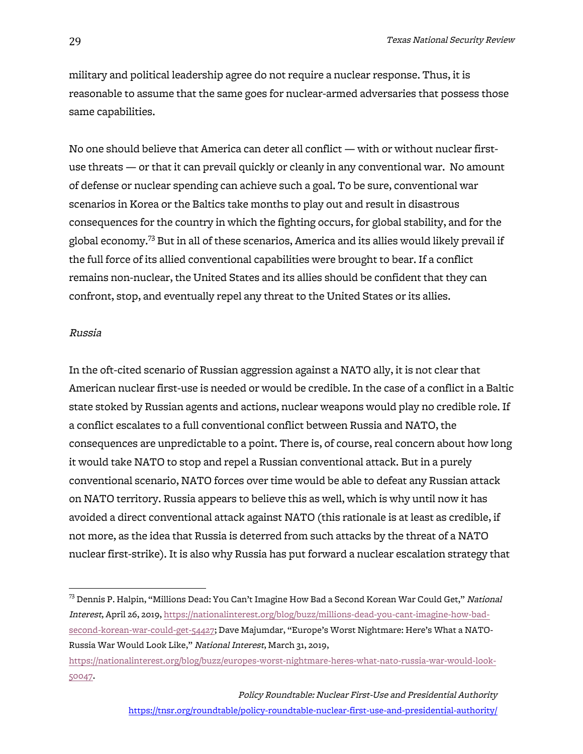military and political leadership agree do not require a nuclear response. Thus, it is reasonable to assume that the same goes for nuclear-armed adversaries that possess those same capabilities.

No one should believe that America can deter all conflict — with or without nuclear firstuse threats — or that it can prevail quickly or cleanly in any conventional war. No amount of defense or nuclear spending can achieve such a goal. To be sure, conventional war scenarios in Korea or the Baltics take months to play out and result in disastrous consequences for the country in which the fighting occurs, for global stability, and for the global economy.<sup>73</sup> But in all of these scenarios, America and its allies would likely prevail if the full force of its allied conventional capabilities were brought to bear. If a conflict remains non-nuclear, the United States and its allies should be confident that they can confront, stop, and eventually repel any threat to the United States or its allies.

#### Russia

In the oft-cited scenario of Russian aggression against a NATO ally, it is not clear that American nuclear first-use is needed or would be credible. In the case of a conflict in a Baltic state stoked by Russian agents and actions, nuclear weapons would play no credible role. If a conflict escalates to a full conventional conflict between Russia and NATO, the consequences are unpredictable to a point. There is, of course, real concern about how long it would take NATO to stop and repel a Russian conventional attack. But in a purely conventional scenario, NATO forces over time would be able to defeat any Russian attack on NATO territory. Russia appears to believe this as well, which is why until now it has avoided a direct conventional attack against NATO (this rationale is at least as credible, if not more, as the idea that Russia is deterred from such attacks by the threat of a NATO nuclear first-strike). It is also why Russia has put forward a nuclear escalation strategy that

 $^{73}$  Dennis P. Halpin, "Millions Dead: You Can't Imagine How Bad a Second Korean War Could Get," *National* Interest, April 26, 2019, https://nationalinterest.org/blog/buzz/millions-dead-you-cant-imagine-how-badsecond-korean-war-could-get-54427; Dave Majumdar, "Europe's Worst Nightmare: Here's What a NATO-Russia War Would Look Like," National Interest, March 31, 2019,

https://nationalinterest.org/blog/buzz/europes-worst-nightmare-heres-what-nato-russia-war-would-look-50047.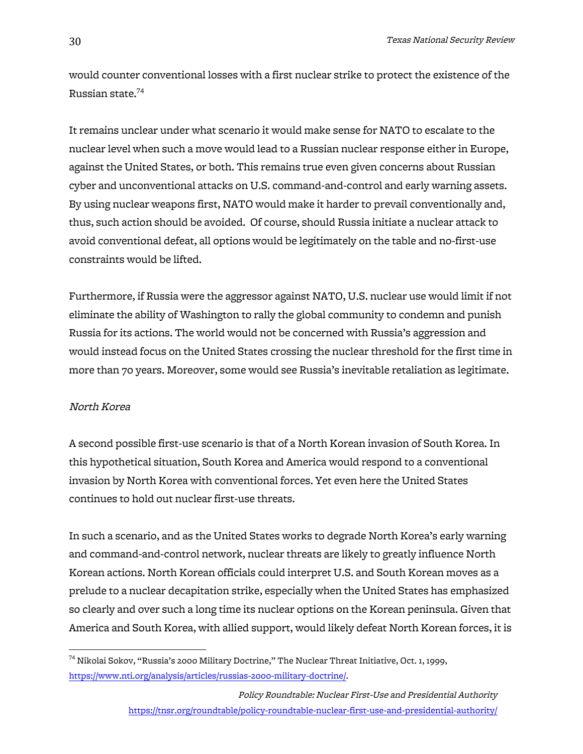would counter conventional losses with a first nuclear strike to protect the existence of the Russian state.74

It remains unclear under what scenario it would make sense for NATO to escalate to the nuclear level when such a move would lead to a Russian nuclear response either in Europe, against the United States, or both. This remains true even given concerns about Russian cyber and unconventional attacks on U.S. command-and-control and early warning assets. By using nuclear weapons first, NATO would make it harder to prevail conventionally and, thus, such action should be avoided. Of course, should Russia initiate a nuclear attack to avoid conventional defeat, all options would be legitimately on the table and no-first-use constraints would be lifted.

Furthermore, if Russia were the aggressor against NATO, U.S. nuclear use would limit if not eliminate the ability of Washington to rally the global community to condemn and punish Russia for its actions. The world would not be concerned with Russia's aggression and would instead focus on the United States crossing the nuclear threshold for the first time in more than 70 years. Moreover, some would see Russia's inevitable retaliation as legitimate.

#### North Korea

A second possible first-use scenario is that of a North Korean invasion of South Korea. In this hypothetical situation, South Korea and America would respond to a conventional invasion by North Korea with conventional forces. Yet even here the United States continues to hold out nuclear first-use threats.

In such a scenario, and as the United States works to degrade North Korea's early warning and command-and-control network, nuclear threats are likely to greatly influence North Korean actions. North Korean officials could interpret U.S. and South Korean moves as a prelude to a nuclear decapitation strike, especially when the United States has emphasized so clearly and over such a long time its nuclear options on the Korean peninsula. Given that America and South Korea, with allied support, would likely defeat North Korean forces, it is

 $74$  Nikolai Sokov, "Russia's 2000 Military Doctrine," The Nuclear Threat Initiative, Oct. 1, 1999, https://www.nti.org/analysis/articles/russias-2000-military-doctrine/.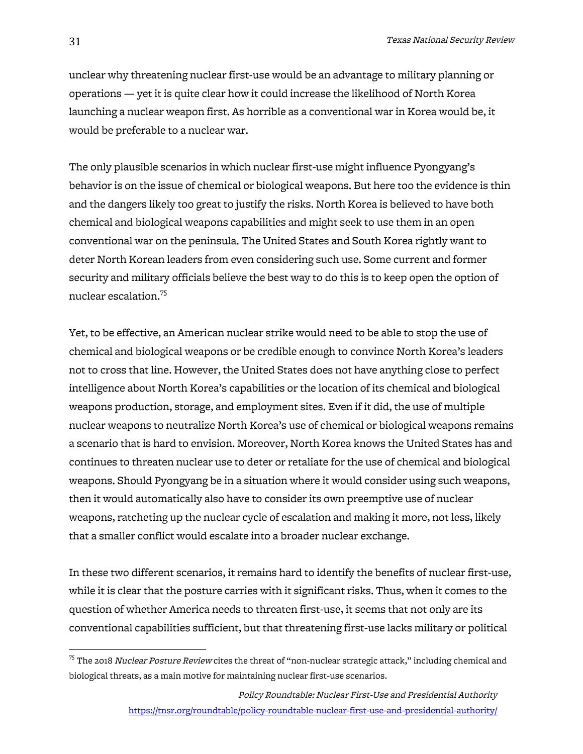unclear why threatening nuclear first-use would be an advantage to military planning or operations — yet it is quite clear how it could increase the likelihood of North Korea launching a nuclear weapon first. As horrible as a conventional war in Korea would be, it would be preferable to a nuclear war.

The only plausible scenarios in which nuclear first-use might influence Pyongyang's behavior is on the issue of chemical or biological weapons. But here too the evidence is thin and the dangers likely too great to justify the risks. North Korea is believed to have both chemical and biological weapons capabilities and might seek to use them in an open conventional war on the peninsula. The United States and South Korea rightly want to deter North Korean leaders from even considering such use. Some current and former security and military officials believe the best way to do this is to keep open the option of nuclear escalation.<sup>75</sup>

Yet, to be effective, an American nuclear strike would need to be able to stop the use of chemical and biological weapons or be credible enough to convince North Korea's leaders not to cross that line. However, the United States does not have anything close to perfect intelligence about North Korea's capabilities or the location of its chemical and biological weapons production, storage, and employment sites. Even if it did, the use of multiple nuclear weapons to neutralize North Korea's use of chemical or biological weapons remains a scenario that is hard to envision. Moreover, North Korea knows the United States has and continues to threaten nuclear use to deter or retaliate for the use of chemical and biological weapons. Should Pyongyang be in a situation where it would consider using such weapons, then it would automatically also have to consider its own preemptive use of nuclear weapons, ratcheting up the nuclear cycle of escalation and making it more, not less, likely that a smaller conflict would escalate into a broader nuclear exchange.

In these two different scenarios, it remains hard to identify the benefits of nuclear first-use, while it is clear that the posture carries with it significant risks. Thus, when it comes to the question of whether America needs to threaten first-use, it seems that not only are its conventional capabilities sufficient, but that threatening first-use lacks military or political

 $^{75}$  The 2018 *Nuclear Posture Review* cites the threat of "non-nuclear strategic attack," including chemical and biological threats, as a main motive for maintaining nuclear first-use scenarios.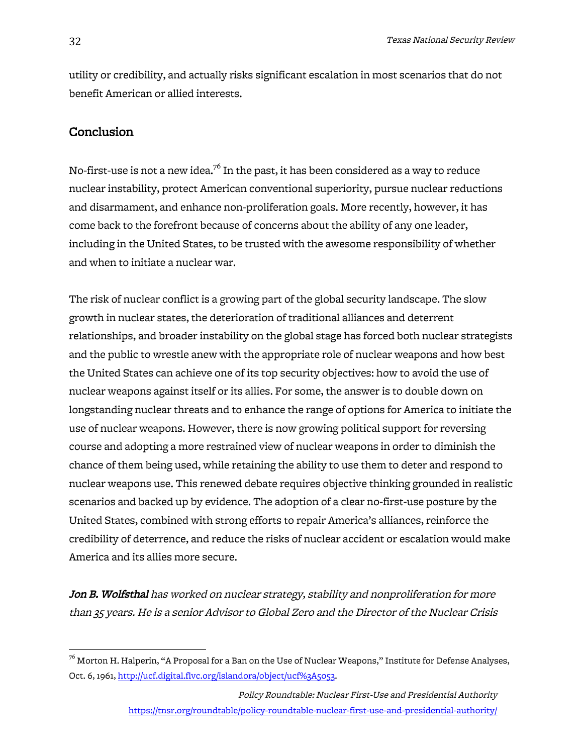utility or credibility, and actually risks significant escalation in most scenarios that do not benefit American or allied interests.

# Conclusion

No-first-use is not a new idea.<sup>76</sup> In the past, it has been considered as a way to reduce nuclear instability, protect American conventional superiority, pursue nuclear reductions and disarmament, and enhance non-proliferation goals. More recently, however, it has come back to the forefront because of concerns about the ability of any one leader, including in the United States, to be trusted with the awesome responsibility of whether and when to initiate a nuclear war.

The risk of nuclear conflict is a growing part of the global security landscape. The slow growth in nuclear states, the deterioration of traditional alliances and deterrent relationships, and broader instability on the global stage has forced both nuclear strategists and the public to wrestle anew with the appropriate role of nuclear weapons and how best the United States can achieve one of its top security objectives: how to avoid the use of nuclear weapons against itself or its allies. For some, the answer is to double down on longstanding nuclear threats and to enhance the range of options for America to initiate the use of nuclear weapons. However, there is now growing political support for reversing course and adopting a more restrained view of nuclear weapons in order to diminish the chance of them being used, while retaining the ability to use them to deter and respond to nuclear weapons use. This renewed debate requires objective thinking grounded in realistic scenarios and backed up by evidence. The adoption of a clear no-first-use posture by the United States, combined with strong efforts to repair America's alliances, reinforce the credibility of deterrence, and reduce the risks of nuclear accident or escalation would make America and its allies more secure.

Jon B. Wolfsthal has worked on nuclear strategy, stability and nonproliferation for more than 35 years. He is a senior Advisor to Global Zero and the Director of the Nuclear Crisis

 $^{76}$  Morton H. Halperin, "A Proposal for a Ban on the Use of Nuclear Weapons," Institute for Defense Analyses, Oct. 6, 1961, http://ucf.digital.flvc.org/islandora/object/ucf%3A5053.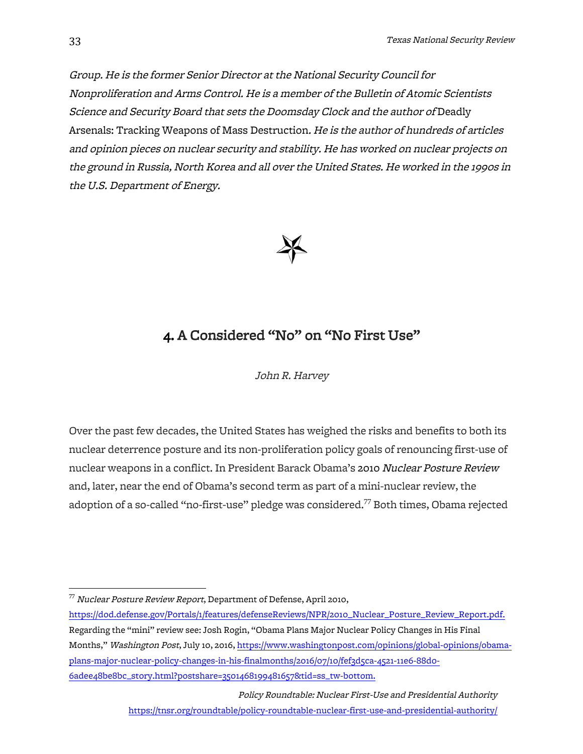Group. He is the former Senior Director at the National Security Council for Nonproliferation and Arms Control. He is a member of the Bulletin of Atomic Scientists Science and Security Board that sets the Doomsday Clock and the author of Deadly Arsenals: Tracking Weapons of Mass Destruction. He is the author of hundreds of articles and opinion pieces on nuclear security and stability. He has worked on nuclear projects on the ground in Russia, North Korea and all over the United States. He worked in the 1990s in the U.S. Department of Energy.



# 4. A Considered "No" on "No First Use"

John R. Harvey

Over the past few decades, the United States has weighed the risks and benefits to both its nuclear deterrence posture and its non-proliferation policy goals of renouncing first-use of nuclear weapons in a conflict. In President Barack Obama's 2010 Nuclear Posture Review and, later, near the end of Obama's second term as part of a mini-nuclear review, the adoption of a so-called "no-first-use" pledge was considered.<sup>77</sup> Both times, Obama rejected

 $77$  Nuclear Posture Review Report, Department of Defense, April 2010,

https://dod.defense.gov/Portals/1/features/defenseReviews/NPR/2010\_Nuclear\_Posture\_Review\_Report.pdf. Regarding the "mini" review see: Josh Rogin, "Obama Plans Major Nuclear Policy Changes in His Final Months," Washington Post, July 10, 2016, https://www.washingtonpost.com/opinions/global-opinions/obamaplans-major-nuclear-policy-changes-in-his-finalmonths/2016/07/10/fef3d5ca-4521-11e6-88d0- 6adee48be8bc\_story.html?postshare=3501468199481657&tid=ss\_tw-bottom.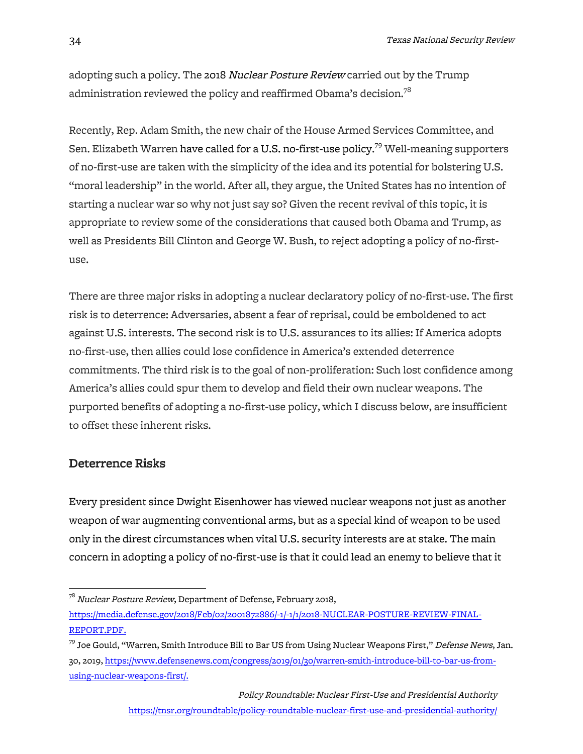adopting such a policy. The 2018 *Nuclear Posture Review* carried out by the Trump administration reviewed the policy and reaffirmed Obama's decision.<sup>78</sup>

Recently, Rep. Adam Smith, the new chair of the House Armed Services Committee, and Sen. Elizabeth Warren have called for a U.S. no-first-use policy. $^{79}$  Well-meaning supporters of no-first-use are taken with the simplicity of the idea and its potential for bolstering U.S. "moral leadership" in the world. After all, they argue, the United States has no intention of starting a nuclear war so why not just say so? Given the recent revival of this topic, it is appropriate to review some of the considerations that caused both Obama and Trump, as well as Presidents Bill Clinton and George W. Bush, to reject adopting a policy of no-firstuse.

There are three major risks in adopting a nuclear declaratory policy of no-first-use. The first risk is to deterrence: Adversaries, absent a fear of reprisal, could be emboldened to act against U.S. interests. The second risk is to U.S. assurances to its allies: If America adopts no-first-use, then allies could lose confidence in America's extended deterrence commitments. The third risk is to the goal of non-proliferation: Such lost confidence among America's allies could spur them to develop and field their own nuclear weapons. The purported benefits of adopting a no-first-use policy, which I discuss below, are insufficient to offset these inherent risks.

### Deterrence Risks

Every president since Dwight Eisenhower has viewed nuclear weapons not just as another weapon of war augmenting conventional arms, but as a special kind of weapon to be used only in the direst circumstances when vital U.S. security interests are at stake. The main concern in adopting a policy of no-first-use is that it could lead an enemy to believe that it

 $^{78}$  Nuclear Posture Review, Department of Defense, February 2018,

https://media.defense.gov/2018/Feb/02/2001872886/-1/-1/1/2018-NUCLEAR-POSTURE-REVIEW-FINAL-REPORT.PDF.

<sup>&</sup>lt;sup>79</sup> Joe Gould, "Warren, Smith Introduce Bill to Bar US from Using Nuclear Weapons First," Defense News, Jan. 30, 2019, https://www.defensenews.com/congress/2019/01/30/warren-smith-introduce-bill-to-bar-us-fromusing-nuclear-weapons-first/.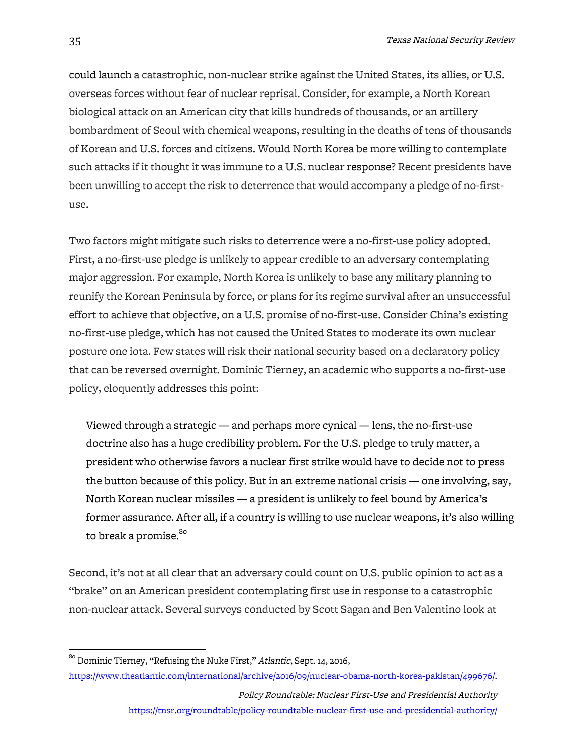could launch a catastrophic, non-nuclear strike against the United States, its allies, or U.S. overseas forces without fear of nuclear reprisal. Consider, for example, a North Korean biological attack on an American city that kills hundreds of thousands, or an artillery bombardment of Seoul with chemical weapons, resulting in the deaths of tens of thousands of Korean and U.S. forces and citizens. Would North Korea be more willing to contemplate such attacks if it thought it was immune to a U.S. nuclear response? Recent presidents have been unwilling to accept the risk to deterrence that would accompany a pledge of no-firstuse.

Two factors might mitigate such risks to deterrence were a no-first-use policy adopted. First, a no-first-use pledge is unlikely to appear credible to an adversary contemplating major aggression. For example, North Korea is unlikely to base any military planning to reunify the Korean Peninsula by force, or plans for its regime survival after an unsuccessful effort to achieve that objective, on a U.S. promise of no-first-use. Consider China's existing no-first-use pledge, which has not caused the United States to moderate its own nuclear posture one iota. Few states will risk their national security based on a declaratory policy that can be reversed overnight. Dominic Tierney, an academic who supports a no-first-use policy, eloquently addresses this point:

Viewed through a strategic — and perhaps more cynical — lens, the no-first-use doctrine also has a huge credibility problem. For the U.S. pledge to truly matter, a president who otherwise favors a nuclear first strike would have to decide not to press the button because of this policy. But in an extreme national crisis — one involving, say, North Korean nuclear missiles — a president is unlikely to feel bound by America's former assurance. After all, if a country is willing to use nuclear weapons, it's also willing to break a promise.<sup>80</sup>

Second, it's not at all clear that an adversary could count on U.S. public opinion to act as a "brake" on an American president contemplating first use in response to a catastrophic non-nuclear attack. Several surveys conducted by Scott Sagan and Ben Valentino look at

 $80$  Dominic Tierney, "Refusing the Nuke First," Atlantic, Sept. 14, 2016,

https://www.theatlantic.com/international/archive/2016/09/nuclear-obama-north-korea-pakistan/499676/.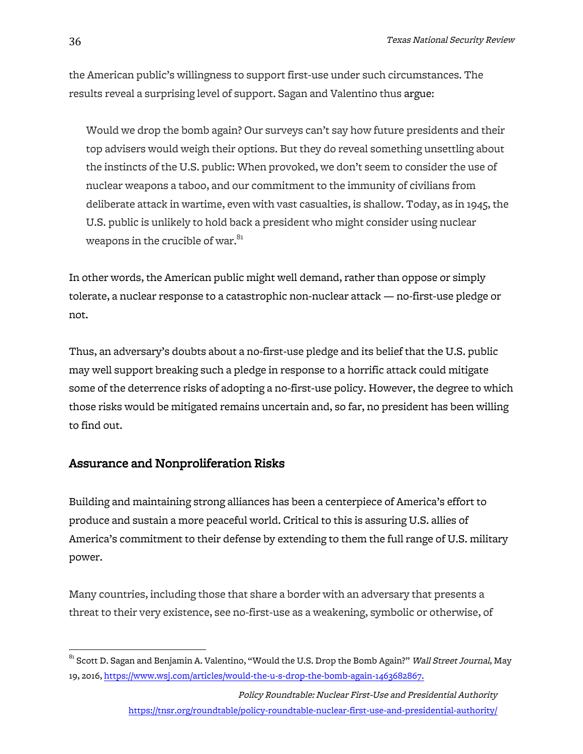the American public's willingness to support first-use under such circumstances. The results reveal a surprising level of support. Sagan and Valentino thus argue:

Would we drop the bomb again? Our surveys can't say how future presidents and their top advisers would weigh their options. But they do reveal something unsettling about the instincts of the U.S. public: When provoked, we don't seem to consider the use of nuclear weapons a taboo, and our commitment to the immunity of civilians from deliberate attack in wartime, even with vast casualties, is shallow. Today, as in 1945, the U.S. public is unlikely to hold back a president who might consider using nuclear weapons in the crucible of war.<sup>81</sup>

In other words, the American public might well demand, rather than oppose or simply tolerate, a nuclear response to a catastrophic non-nuclear attack — no-first-use pledge or not.

Thus, an adversary's doubts about a no-first-use pledge and its belief that the U.S. public may well support breaking such a pledge in response to a horrific attack could mitigate some of the deterrence risks of adopting a no-first-use policy. However, the degree to which those risks would be mitigated remains uncertain and, so far, no president has been willing to find out.

# Assurance and Nonproliferation Risks

Building and maintaining strong alliances has been a centerpiece of America's effort to produce and sustain a more peaceful world. Critical to this is assuring U.S. allies of America's commitment to their defense by extending to them the full range of U.S. military power.

Many countries, including those that share a border with an adversary that presents a threat to their very existence, see no-first-use as a weakening, symbolic or otherwise, of

 $^{81}$  Scott D. Sagan and Benjamin A. Valentino, "Would the U.S. Drop the Bomb Again?" *Wall Street Journal*, May 19, 2016, https://www.wsj.com/articles/would-the-u-s-drop-the-bomb-again-1463682867.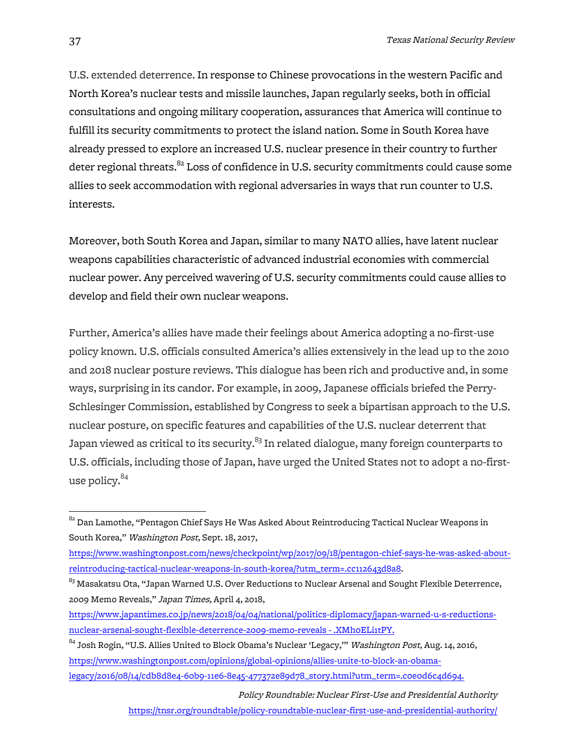U.S. extended deterrence. In response to Chinese provocations in the western Pacific and North Korea's nuclear tests and missile launches, Japan regularly seeks, both in official consultations and ongoing military cooperation, assurances that America will continue to fulfill its security commitments to protect the island nation. Some in South Korea have already pressed to explore an increased U.S. nuclear presence in their country to further deter regional threats. $82$  Loss of confidence in U.S. security commitments could cause some allies to seek accommodation with regional adversaries in ways that run counter to U.S. interests.

Moreover, both South Korea and Japan, similar to many NATO allies, have latent nuclear weapons capabilities characteristic of advanced industrial economies with commercial nuclear power. Any perceived wavering of U.S. security commitments could cause allies to develop and field their own nuclear weapons.

Further, America's allies have made their feelings about America adopting a no-first-use policy known. U.S. officials consulted America's allies extensively in the lead up to the 2010 and 2018 nuclear posture reviews. This dialogue has been rich and productive and, in some ways, surprising in its candor. For example, in 2009, Japanese officials briefed the Perry-Schlesinger Commission, established by Congress to seek a bipartisan approach to the U.S. nuclear posture, on specific features and capabilities of the U.S. nuclear deterrent that Japan viewed as critical to its security.<sup>83</sup> In related dialogue, many foreign counterparts to U.S. officials, including those of Japan, have urged the United States not to adopt a no-firstuse policy.<sup>84</sup>

<sup>84</sup> Josh Rogin, "U.S. Allies United to Block Obama's Nuclear 'Legacy," Washington Post, Aug. 14, 2016, https://www.washingtonpost.com/opinions/global-opinions/allies-unite-to-block-an-obamalegacy/2016/08/14/cdb8d8e4-60b9-11e6-8e45-477372e89d78\_story.html?utm\_term=.c0e0d6c4d694.

> Policy Roundtable: Nuclear First-Use and Presidential Authority https://tnsr.org/roundtable/policy-roundtable-nuclear-first-use-and-presidential-authority/

 $^{82}$  Dan Lamothe, "Pentagon Chief Says He Was Asked About Reintroducing Tactical Nuclear Weapons in South Korea," Washington Post, Sept. 18, 2017,

https://www.washingtonpost.com/news/checkpoint/wp/2017/09/18/pentagon-chief-says-he-was-asked-aboutreintroducing-tactical-nuclear-weapons-in-south-korea/?utm\_term=.cc112643d8a8.

 $^{83}$  Masakatsu Ota, "Japan Warned U.S. Over Reductions to Nuclear Arsenal and Sought Flexible Deterrence, 2009 Memo Reveals," Japan Times, April 4, 2018,

https://www.japantimes.co.jp/news/2018/04/04/national/politics-diplomacy/japan-warned-u-s-reductionsnuclear-arsenal-sought-flexible-deterrence-2009-memo-reveals - .XMh0ELi1tPY.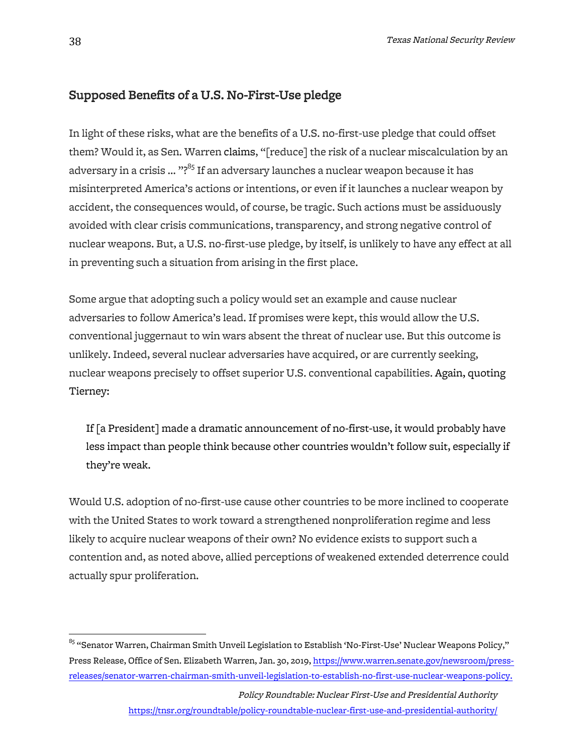# Supposed Benefits of a U.S. No-First-Use pledge

In light of these risks, what are the benefits of a U.S. no-first-use pledge that could offset them? Would it, as Sen. Warren claims, "[reduce] the risk of a nuclear miscalculation by an adversary in a crisis ... "?<sup>85</sup> If an adversary launches a nuclear weapon because it has misinterpreted America's actions or intentions, or even if it launches a nuclear weapon by accident, the consequences would, of course, be tragic. Such actions must be assiduously avoided with clear crisis communications, transparency, and strong negative control of nuclear weapons. But, a U.S. no-first-use pledge, by itself, is unlikely to have any effect at all in preventing such a situation from arising in the first place.

Some argue that adopting such a policy would set an example and cause nuclear adversaries to follow America's lead. If promises were kept, this would allow the U.S. conventional juggernaut to win wars absent the threat of nuclear use. But this outcome is unlikely. Indeed, several nuclear adversaries have acquired, or are currently seeking, nuclear weapons precisely to offset superior U.S. conventional capabilities. Again, quoting Tierney:

If [a President] made a dramatic announcement of no-first-use, it would probably have less impact than people think because other countries wouldn't follow suit, especially if they're weak.

Would U.S. adoption of no-first-use cause other countries to be more inclined to cooperate with the United States to work toward a strengthened nonproliferation regime and less likely to acquire nuclear weapons of their own? No evidence exists to support such a contention and, as noted above, allied perceptions of weakened extended deterrence could actually spur proliferation.

<sup>&</sup>lt;sup>85</sup> "Senator Warren, Chairman Smith Unveil Legislation to Establish 'No-First-Use' Nuclear Weapons Policy," Press Release, Office of Sen. Elizabeth Warren, Jan. 30, 2019, https://www.warren.senate.gov/newsroom/pressreleases/senator-warren-chairman-smith-unveil-legislation-to-establish-no-first-use-nuclear-weapons-policy.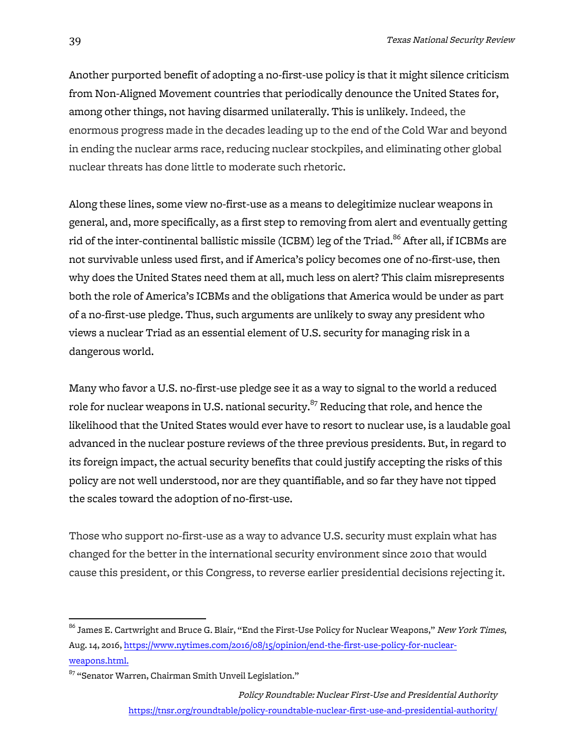Another purported benefit of adopting a no-first-use policy is that it might silence criticism from Non-Aligned Movement countries that periodically denounce the United States for, among other things, not having disarmed unilaterally. This is unlikely. Indeed, the enormous progress made in the decades leading up to the end of the Cold War and beyond in ending the nuclear arms race, reducing nuclear stockpiles, and eliminating other global nuclear threats has done little to moderate such rhetoric.

Along these lines, some view no-first-use as a means to delegitimize nuclear weapons in general, and, more specifically, as a first step to removing from alert and eventually getting rid of the inter-continental ballistic missile (ICBM) leg of the Triad. $^{86}$  After all, if ICBMs are not survivable unless used first, and if America's policy becomes one of no-first-use, then why does the United States need them at all, much less on alert? This claim misrepresents both the role of America's ICBMs and the obligations that America would be under as part of a no-first-use pledge. Thus, such arguments are unlikely to sway any president who views a nuclear Triad as an essential element of U.S. security for managing risk in a dangerous world.

Many who favor a U.S. no-first-use pledge see it as a way to signal to the world a reduced role for nuclear weapons in U.S. national security. $87$  Reducing that role, and hence the likelihood that the United States would ever have to resort to nuclear use, is a laudable goal advanced in the nuclear posture reviews of the three previous presidents. But, in regard to its foreign impact, the actual security benefits that could justify accepting the risks of this policy are not well understood, nor are they quantifiable, and so far they have not tipped the scales toward the adoption of no-first-use.

Those who support no-first-use as a way to advance U.S. security must explain what has changed for the better in the international security environment since 2010 that would cause this president, or this Congress, to reverse earlier presidential decisions rejecting it.

 $^{86}$  James E. Cartwright and Bruce G. Blair, "End the First-Use Policy for Nuclear Weapons," *New York Times*, Aug. 14, 2016, https://www.nytimes.com/2016/08/15/opinion/end-the-first-use-policy-for-nuclearweapons.html.

 $^{87}$  "Senator Warren, Chairman Smith Unveil Legislation."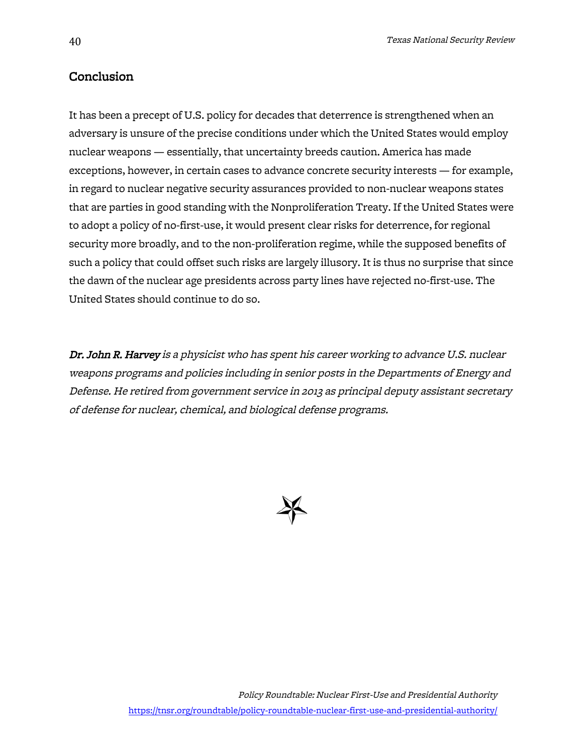# Conclusion

It has been a precept of U.S. policy for decades that deterrence is strengthened when an adversary is unsure of the precise conditions under which the United States would employ nuclear weapons — essentially, that uncertainty breeds caution. America has made exceptions, however, in certain cases to advance concrete security interests — for example, in regard to nuclear negative security assurances provided to non-nuclear weapons states that are parties in good standing with the Nonproliferation Treaty. If the United States were to adopt a policy of no-first-use, it would present clear risks for deterrence, for regional security more broadly, and to the non-proliferation regime, while the supposed benefits of such a policy that could offset such risks are largely illusory. It is thus no surprise that since the dawn of the nuclear age presidents across party lines have rejected no-first-use. The United States should continue to do so.

Dr. John R. Harvey is a physicist who has spent his career working to advance U.S. nuclear weapons programs and policies including in senior posts in the Departments of Energy and Defense. He retired from government service in 2013 as principal deputy assistant secretary of defense for nuclear, chemical, and biological defense programs.

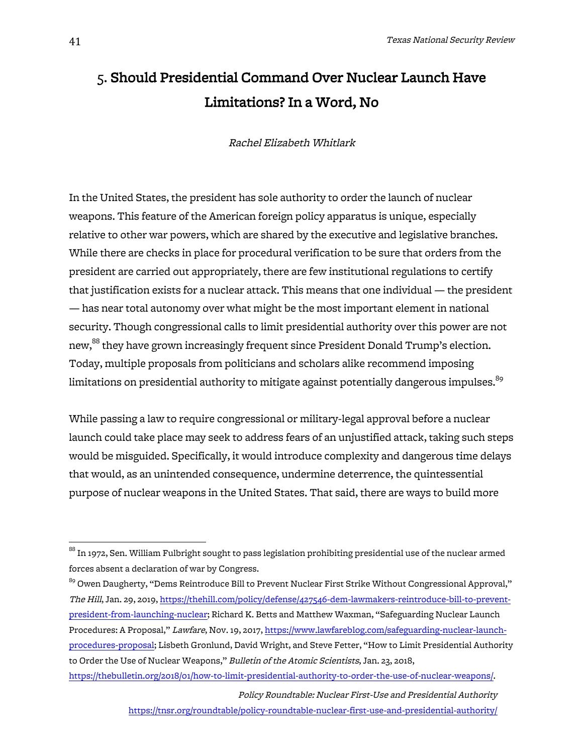# 5. Should Presidential Command Over Nuclear Launch Have Limitations? In a Word, No

Rachel Elizabeth Whitlark

In the United States, the president has sole authority to order the launch of nuclear weapons. This feature of the American foreign policy apparatus is unique, especially relative to other war powers, which are shared by the executive and legislative branches. While there are checks in place for procedural verification to be sure that orders from the president are carried out appropriately, there are few institutional regulations to certify that justification exists for a nuclear attack. This means that one individual — the president — has near total autonomy over what might be the most important element in national security. Though congressional calls to limit presidential authority over this power are not new,<sup>88</sup> they have grown increasingly frequent since President Donald Trump's election. Today, multiple proposals from politicians and scholars alike recommend imposing limitations on presidential authority to mitigate against potentially dangerous impulses. $89$ 

While passing a law to require congressional or military-legal approval before a nuclear launch could take place may seek to address fears of an unjustified attack, taking such steps would be misguided. Specifically, it would introduce complexity and dangerous time delays that would, as an unintended consequence, undermine deterrence, the quintessential purpose of nuclear weapons in the United States. That said, there are ways to build more

 $^{\rm 88}$  In 1972, Sen. William Fulbright sought to pass legislation prohibiting presidential use of the nuclear armed forces absent a declaration of war by Congress.

 $^{89}$  Owen Daugherty, "Dems Reintroduce Bill to Prevent Nuclear First Strike Without Congressional Approval," The Hill, Jan. 29, 2019, https://thehill.com/policy/defense/427546-dem-lawmakers-reintroduce-bill-to-preventpresident-from-launching-nuclear; Richard K. Betts and Matthew Waxman, "Safeguarding Nuclear Launch Procedures: A Proposal," Lawfare, Nov. 19, 2017, https://www.lawfareblog.com/safeguarding-nuclear-launchprocedures-proposal; Lisbeth Gronlund, David Wright, and Steve Fetter, "How to Limit Presidential Authority to Order the Use of Nuclear Weapons," Bulletin of the Atomic Scientists, Jan. 23, 2018, https://thebulletin.org/2018/01/how-to-limit-presidential-authority-to-order-the-use-of-nuclear-weapons/.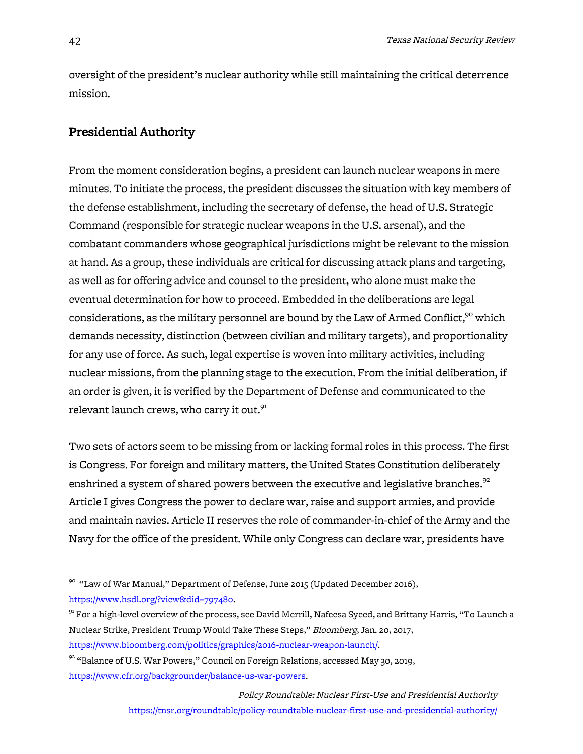oversight of the president's nuclear authority while still maintaining the critical deterrence mission.

# Presidential Authority

From the moment consideration begins, a president can launch nuclear weapons in mere minutes. To initiate the process, the president discusses the situation with key members of the defense establishment, including the secretary of defense, the head of U.S. Strategic Command (responsible for strategic nuclear weapons in the U.S. arsenal), and the combatant commanders whose geographical jurisdictions might be relevant to the mission at hand. As a group, these individuals are critical for discussing attack plans and targeting, as well as for offering advice and counsel to the president, who alone must make the eventual determination for how to proceed. Embedded in the deliberations are legal considerations, as the military personnel are bound by the Law of Armed Conflict,<sup>90</sup> which demands necessity, distinction (between civilian and military targets), and proportionality for any use of force. As such, legal expertise is woven into military activities, including nuclear missions, from the planning stage to the execution. From the initial deliberation, if an order is given, it is verified by the Department of Defense and communicated to the relevant launch crews, who carry it out.<sup>91</sup>

Two sets of actors seem to be missing from or lacking formal roles in this process. The first is Congress. For foreign and military matters, the United States Constitution deliberately enshrined a system of shared powers between the executive and legislative branches. $92$ Article I gives Congress the power to declare war, raise and support armies, and provide and maintain navies. Article II reserves the role of commander-in-chief of the Army and the Navy for the office of the president. While only Congress can declare war, presidents have

 $90$  "Law of War Manual," Department of Defense, June 2015 (Updated December 2016), https://www.hsdl.org/?view&did=797480.

 $^{91}$  For a high-level overview of the process, see David Merrill, Nafeesa Syeed, and Brittany Harris, "To Launch a Nuclear Strike, President Trump Would Take These Steps," Bloomberg, Jan. 20, 2017, https://www.bloomberg.com/politics/graphics/2016-nuclear-weapon-launch/.

 $^{92}$  "Balance of U.S. War Powers," Council on Foreign Relations, accessed May 30, 2019,  $\,$ https://www.cfr.org/backgrounder/balance-us-war-powers.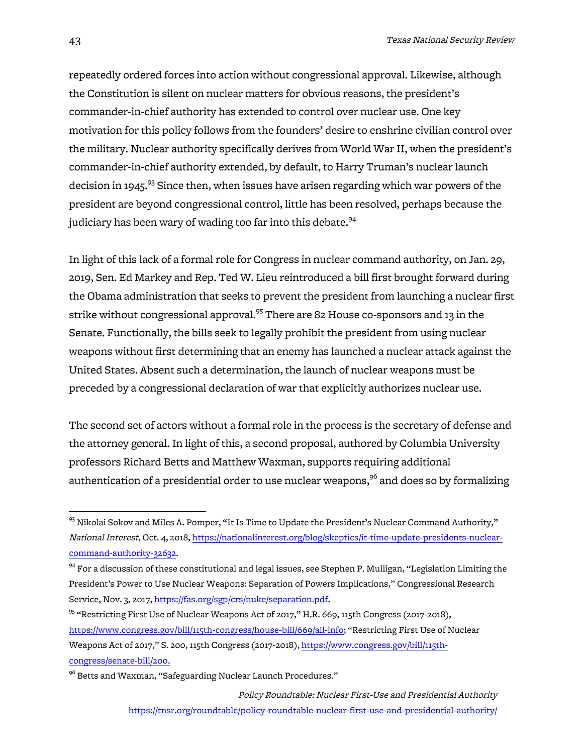repeatedly ordered forces into action without congressional approval. Likewise, although the Constitution is silent on nuclear matters for obvious reasons, the president's commander-in-chief authority has extended to control over nuclear use. One key motivation for this policy follows from the founders' desire to enshrine civilian control over the military. Nuclear authority specifically derives from World War II, when the president's commander-in-chief authority extended, by default, to Harry Truman's nuclear launch decision in 1945.<sup>93</sup> Since then, when issues have arisen regarding which war powers of the president are beyond congressional control, little has been resolved, perhaps because the judiciary has been wary of wading too far into this debate.<sup>94</sup>

In light of this lack of a formal role for Congress in nuclear command authority, on Jan. 29, 2019, Sen. Ed Markey and Rep. Ted W. Lieu reintroduced a bill first brought forward during the Obama administration that seeks to prevent the president from launching a nuclear first strike without congressional approval.<sup>95</sup> There are 82 House co-sponsors and 13 in the Senate. Functionally, the bills seek to legally prohibit the president from using nuclear weapons without first determining that an enemy has launched a nuclear attack against the United States. Absent such a determination, the launch of nuclear weapons must be preceded by a congressional declaration of war that explicitly authorizes nuclear use.

The second set of actors without a formal role in the process is the secretary of defense and the attorney general. In light of this, a second proposal, authored by Columbia University professors Richard Betts and Matthew Waxman, supports requiring additional authentication of a presidential order to use nuclear weapons,<sup>96</sup> and does so by formalizing

Policy Roundtable: Nuclear First-Use and Presidential Authority https://tnsr.org/roundtable/policy-roundtable-nuclear-first-use-and-presidential-authority/

 $^{93}$  Nikolai Sokov and Miles A. Pomper, "It Is Time to Update the President's Nuclear Command Authority," National Interest, Oct. 4, 2018, https://nationalinterest.org/blog/skeptics/it-time-update-presidents-nuclearcommand-authority-32632.

 $94$  For a discussion of these constitutional and legal issues, see Stephen P. Mulligan, "Legislation Limiting the President's Power to Use Nuclear Weapons: Separation of Powers Implications," Congressional Research Service, Nov. 3, 2017, https://fas.org/sgp/crs/nuke/separation.pdf.

<sup>&</sup>lt;sup>95</sup> "Restricting First Use of Nuclear Weapons Act of 2017," H.R. 669, 115th Congress (2017-2018), https://www.congress.gov/bill/115th-congress/house-bill/669/all-info; "Restricting First Use of Nuclear Weapons Act of 2017," S. 200, 115th Congress (2017-2018), https://www.congress.gov/bill/115thcongress/senate-bill/200.

<sup>&</sup>lt;sup>96</sup> Betts and Waxman, "Safeguarding Nuclear Launch Procedures."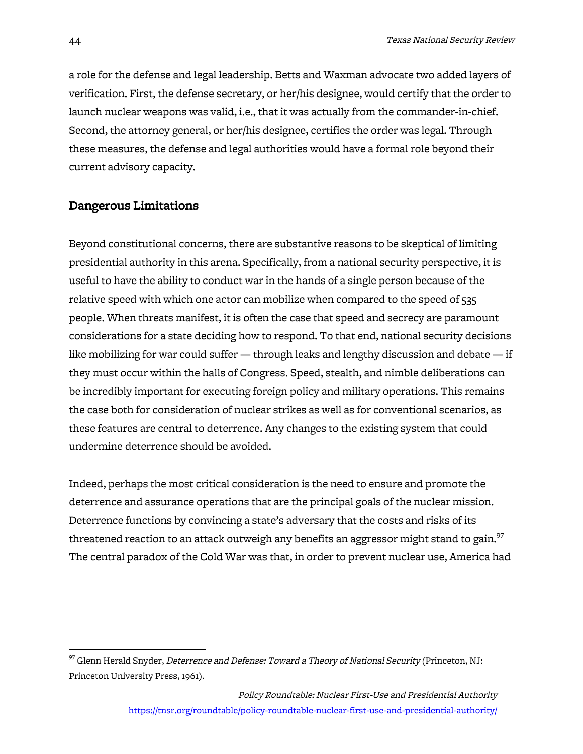a role for the defense and legal leadership. Betts and Waxman advocate two added layers of verification. First, the defense secretary, or her/his designee, would certify that the order to launch nuclear weapons was valid, i.e., that it was actually from the commander-in-chief. Second, the attorney general, or her/his designee, certifies the order was legal. Through these measures, the defense and legal authorities would have a formal role beyond their current advisory capacity.

#### Dangerous Limitations

Beyond constitutional concerns, there are substantive reasons to be skeptical of limiting presidential authority in this arena. Specifically, from a national security perspective, it is useful to have the ability to conduct war in the hands of a single person because of the relative speed with which one actor can mobilize when compared to the speed of 535 people. When threats manifest, it is often the case that speed and secrecy are paramount considerations for a state deciding how to respond. To that end, national security decisions like mobilizing for war could suffer  $-$  through leaks and lengthy discussion and debate  $-$  if they must occur within the halls of Congress. Speed, stealth, and nimble deliberations can be incredibly important for executing foreign policy and military operations. This remains the case both for consideration of nuclear strikes as well as for conventional scenarios, as these features are central to deterrence. Any changes to the existing system that could undermine deterrence should be avoided.

Indeed, perhaps the most critical consideration is the need to ensure and promote the deterrence and assurance operations that are the principal goals of the nuclear mission. Deterrence functions by convincing a state's adversary that the costs and risks of its threatened reaction to an attack outweigh any benefits an aggressor might stand to gain. $97$ The central paradox of the Cold War was that, in order to prevent nuclear use, America had

 $97$  Glenn Herald Snyder, *Deterrence and Defense: Toward a Theory of National Security* (Princeton, NJ: Princeton University Press, 1961).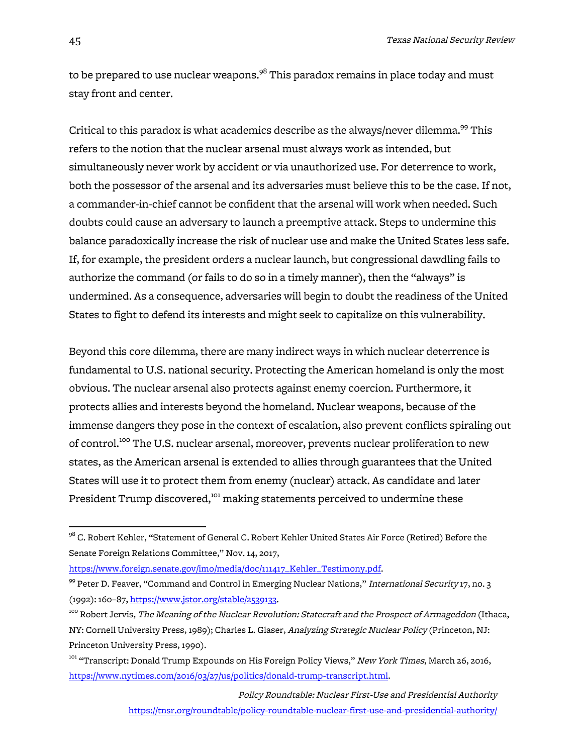to be prepared to use nuclear weapons.<sup>98</sup> This paradox remains in place today and must stay front and center.

Critical to this paradox is what academics describe as the always/never dilemma.<sup>99</sup> This refers to the notion that the nuclear arsenal must always work as intended, but simultaneously never work by accident or via unauthorized use. For deterrence to work, both the possessor of the arsenal and its adversaries must believe this to be the case. If not, a commander-in-chief cannot be confident that the arsenal will work when needed. Such doubts could cause an adversary to launch a preemptive attack. Steps to undermine this balance paradoxically increase the risk of nuclear use and make the United States less safe. If, for example, the president orders a nuclear launch, but congressional dawdling fails to authorize the command (or fails to do so in a timely manner), then the "always" is undermined. As a consequence, adversaries will begin to doubt the readiness of the United States to fight to defend its interests and might seek to capitalize on this vulnerability.

Beyond this core dilemma, there are many indirect ways in which nuclear deterrence is fundamental to U.S. national security. Protecting the American homeland is only the most obvious. The nuclear arsenal also protects against enemy coercion. Furthermore, it protects allies and interests beyond the homeland. Nuclear weapons, because of the immense dangers they pose in the context of escalation, also prevent conflicts spiraling out of control.<sup>100</sup> The U.S. nuclear arsenal, moreover, prevents nuclear proliferation to new states, as the American arsenal is extended to allies through guarantees that the United States will use it to protect them from enemy (nuclear) attack. As candidate and later President Trump discovered,<sup>101</sup> making statements perceived to undermine these

https://www.foreign.senate.gov/imo/media/doc/111417\_Kehler\_Testimony.pdf.

 $^{98}$  C. Robert Kehler, "Statement of General C. Robert Kehler United States Air Force (Retired) Before the Senate Foreign Relations Committee," Nov. 14, 2017,

<sup>&</sup>lt;sup>99</sup> Peter D. Feaver, "Command and Control in Emerging Nuclear Nations," International Security 17, no. 3 (1992): 160–87, https://www.jstor.org/stable/2539133.

<sup>&</sup>lt;sup>100</sup> Robert Jervis, *The Meaning of the Nuclear Revolution: Statecraft and the Prospect of Armageddon* (Ithaca, NY: Cornell University Press, 1989); Charles L. Glaser, Analyzing Strategic Nuclear Policy (Princeton, NJ: Princeton University Press, 1990).

<sup>&</sup>lt;sup>101</sup> "Transcript: Donald Trump Expounds on His Foreign Policy Views," New York Times, March 26, 2016, https://www.nytimes.com/2016/03/27/us/politics/donald-trump-transcript.html.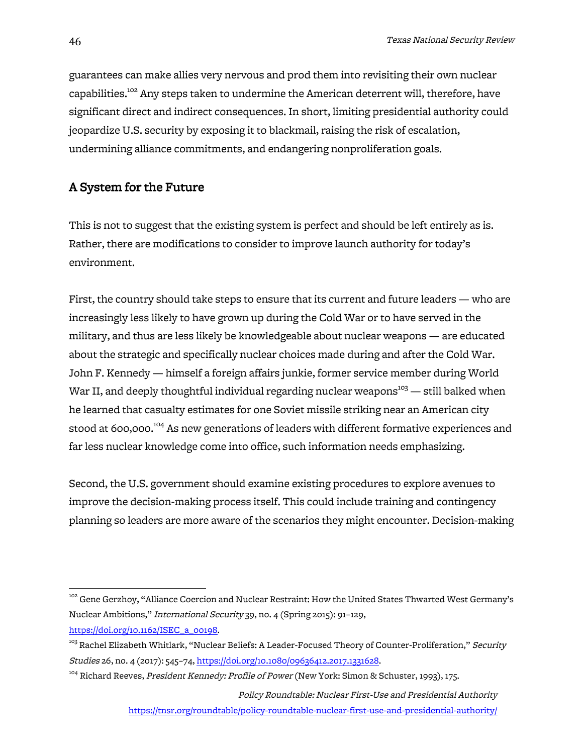guarantees can make allies very nervous and prod them into revisiting their own nuclear capabilities.<sup>102</sup> Any steps taken to undermine the American deterrent will, therefore, have significant direct and indirect consequences. In short, limiting presidential authority could jeopardize U.S. security by exposing it to blackmail, raising the risk of escalation, undermining alliance commitments, and endangering nonproliferation goals.

### A System for the Future

This is not to suggest that the existing system is perfect and should be left entirely as is. Rather, there are modifications to consider to improve launch authority for today's environment.

First, the country should take steps to ensure that its current and future leaders — who are increasingly less likely to have grown up during the Cold War or to have served in the military, and thus are less likely be knowledgeable about nuclear weapons — are educated about the strategic and specifically nuclear choices made during and after the Cold War. John F. Kennedy — himself a foreign affairs junkie, former service member during World War II, and deeply thoughtful individual regarding nuclear weapons<sup>103</sup> — still balked when he learned that casualty estimates for one Soviet missile striking near an American city stood at 600,000.<sup>104</sup> As new generations of leaders with different formative experiences and far less nuclear knowledge come into office, such information needs emphasizing.

Second, the U.S. government should examine existing procedures to explore avenues to improve the decision-making process itself. This could include training and contingency planning so leaders are more aware of the scenarios they might encounter. Decision-making

Policy Roundtable: Nuclear First-Use and Presidential Authority

https://tnsr.org/roundtable/policy-roundtable-nuclear-first-use-and-presidential-authority/

<sup>&</sup>lt;sup>102</sup> Gene Gerzhoy, "Alliance Coercion and Nuclear Restraint: How the United States Thwarted West Germany's Nuclear Ambitions," International Security 39, no. 4 (Spring 2015): 91–129, https://doi.org/10.1162/ISEC\_a\_00198.

<sup>&</sup>lt;sup>103</sup> Rachel Elizabeth Whitlark, "Nuclear Beliefs: A Leader-Focused Theory of Counter-Proliferation," *Security* Studies 26, no. 4 (2017): 545-74, https://doi.org/10.1080/09636412.2017.1331628.

<sup>&</sup>lt;sup>104</sup> Richard Reeves, President Kennedy: Profile of Power (New York: Simon & Schuster, 1993), 175.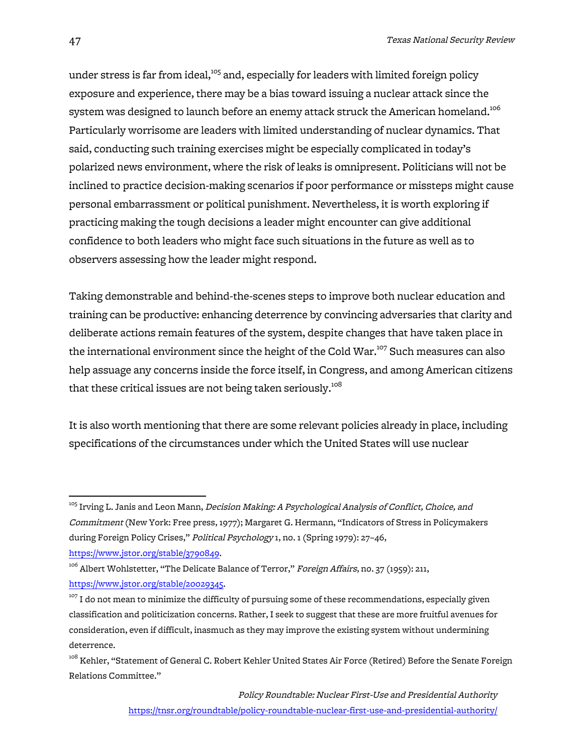under stress is far from ideal, $105$  and, especially for leaders with limited foreign policy exposure and experience, there may be a bias toward issuing a nuclear attack since the system was designed to launch before an enemy attack struck the American homeland.<sup>106</sup> Particularly worrisome are leaders with limited understanding of nuclear dynamics. That said, conducting such training exercises might be especially complicated in today's polarized news environment, where the risk of leaks is omnipresent. Politicians will not be inclined to practice decision-making scenarios if poor performance or missteps might cause personal embarrassment or political punishment. Nevertheless, it is worth exploring if practicing making the tough decisions a leader might encounter can give additional confidence to both leaders who might face such situations in the future as well as to observers assessing how the leader might respond.

Taking demonstrable and behind-the-scenes steps to improve both nuclear education and training can be productive: enhancing deterrence by convincing adversaries that clarity and deliberate actions remain features of the system, despite changes that have taken place in the international environment since the height of the Cold War.<sup>107</sup> Such measures can also help assuage any concerns inside the force itself, in Congress, and among American citizens that these critical issues are not being taken seriously.<sup>108</sup>

It is also worth mentioning that there are some relevant policies already in place, including specifications of the circumstances under which the United States will use nuclear

<sup>&</sup>lt;sup>105</sup> Irving L. Janis and Leon Mann, *Decision Making: A Psychological Analysis of Conflict, Choice, and* Commitment (New York: Free press, 1977); Margaret G. Hermann, "Indicators of Stress in Policymakers during Foreign Policy Crises," Political Psychology 1, no. 1 (Spring 1979): 27-46,

https://www.jstor.org/stable/3790849.

<sup>&</sup>lt;sup>106</sup> Albert Wohlstetter, "The Delicate Balance of Terror," Foreign Affairs, no. 37 (1959): 211, https://www.jstor.org/stable/20029345.

 $107$  I do not mean to minimize the difficulty of pursuing some of these recommendations, especially given classification and politicization concerns. Rather, I seek to suggest that these are more fruitful avenues for consideration, even if difficult, inasmuch as they may improve the existing system without undermining deterrence.

 $^{108}$  Kehler, "Statement of General C. Robert Kehler United States Air Force (Retired) Before the Senate Foreign Relations Committee."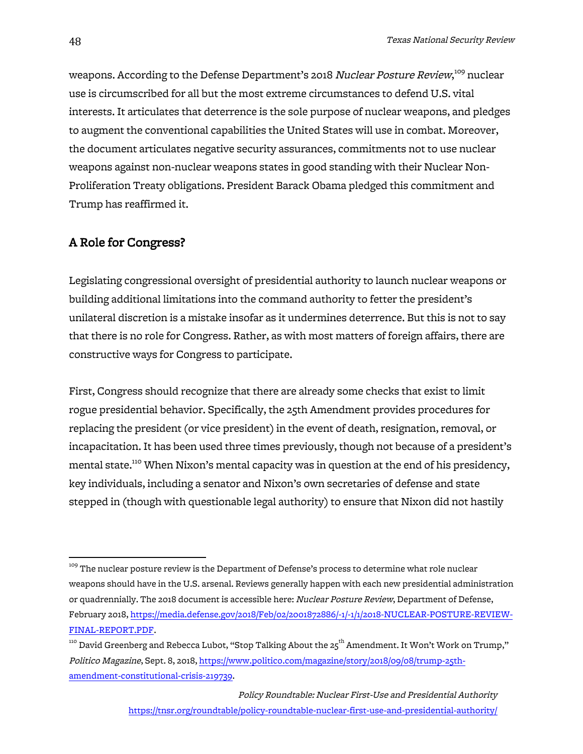weapons. According to the Defense Department's 2018 *Nuclear Posture Review*,<sup>109</sup> nuclear use is circumscribed for all but the most extreme circumstances to defend U.S. vital interests. It articulates that deterrence is the sole purpose of nuclear weapons, and pledges to augment the conventional capabilities the United States will use in combat. Moreover, the document articulates negative security assurances, commitments not to use nuclear weapons against non-nuclear weapons states in good standing with their Nuclear Non-Proliferation Treaty obligations. President Barack Obama pledged this commitment and Trump has reaffirmed it.

### A Role for Congress?

Legislating congressional oversight of presidential authority to launch nuclear weapons or building additional limitations into the command authority to fetter the president's unilateral discretion is a mistake insofar as it undermines deterrence. But this is not to say that there is no role for Congress. Rather, as with most matters of foreign affairs, there are constructive ways for Congress to participate.

First, Congress should recognize that there are already some checks that exist to limit rogue presidential behavior. Specifically, the 25th Amendment provides procedures for replacing the president (or vice president) in the event of death, resignation, removal, or incapacitation. It has been used three times previously, though not because of a president's mental state.<sup>110</sup> When Nixon's mental capacity was in question at the end of his presidency, key individuals, including a senator and Nixon's own secretaries of defense and state stepped in (though with questionable legal authority) to ensure that Nixon did not hastily

<sup>&</sup>lt;sup>109</sup> The nuclear posture review is the Department of Defense's process to determine what role nuclear weapons should have in the U.S. arsenal. Reviews generally happen with each new presidential administration or quadrennially. The 2018 document is accessible here: Nuclear Posture Review, Department of Defense, February 2018, https://media.defense.gov/2018/Feb/02/2001872886/-1/-1/1/2018-NUCLEAR-POSTURE-REVIEW-FINAL-REPORT.PDF.

<sup>&</sup>lt;sup>110</sup> David Greenberg and Rebecca Lubot, "Stop Talking About the 25<sup>th</sup> Amendment. It Won't Work on Trump," Politico Magazine, Sept. 8, 2018, https://www.politico.com/magazine/story/2018/09/08/trump-25thamendment-constitutional-crisis-219739.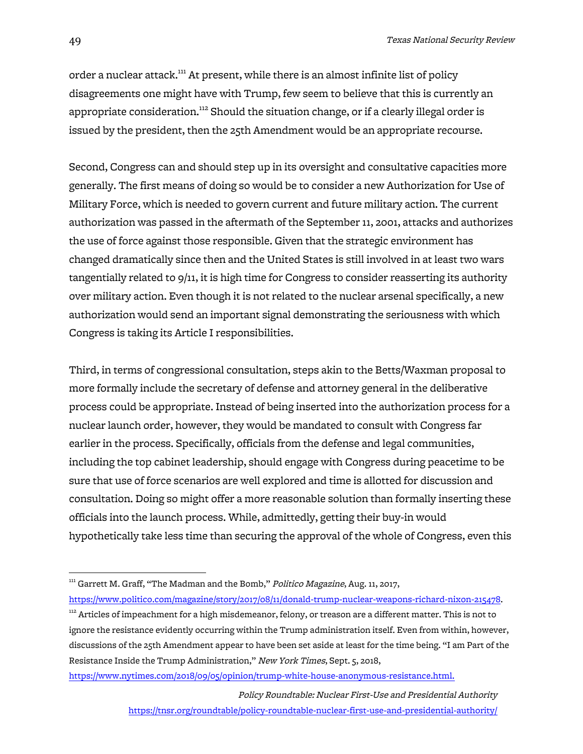order a nuclear attack.<sup>111</sup> At present, while there is an almost infinite list of policy disagreements one might have with Trump, few seem to believe that this is currently an appropriate consideration.<sup>112</sup> Should the situation change, or if a clearly illegal order is issued by the president, then the 25th Amendment would be an appropriate recourse.

Second, Congress can and should step up in its oversight and consultative capacities more generally. The first means of doing so would be to consider a new Authorization for Use of Military Force, which is needed to govern current and future military action. The current authorization was passed in the aftermath of the September 11, 2001, attacks and authorizes the use of force against those responsible. Given that the strategic environment has changed dramatically since then and the United States is still involved in at least two wars tangentially related to 9/11, it is high time for Congress to consider reasserting its authority over military action. Even though it is not related to the nuclear arsenal specifically, a new authorization would send an important signal demonstrating the seriousness with which Congress is taking its Article I responsibilities.

Third, in terms of congressional consultation, steps akin to the Betts/Waxman proposal to more formally include the secretary of defense and attorney general in the deliberative process could be appropriate. Instead of being inserted into the authorization process for a nuclear launch order, however, they would be mandated to consult with Congress far earlier in the process. Specifically, officials from the defense and legal communities, including the top cabinet leadership, should engage with Congress during peacetime to be sure that use of force scenarios are well explored and time is allotted for discussion and consultation. Doing so might offer a more reasonable solution than formally inserting these officials into the launch process. While, admittedly, getting their buy-in would hypothetically take less time than securing the approval of the whole of Congress, even this

https://www.nytimes.com/2018/09/05/opinion/trump-white-house-anonymous-resistance.html.

<sup>&</sup>lt;sup>111</sup> Garrett M. Graff, "The Madman and the Bomb," Politico Magazine, Aug. 11, 2017, https://www.politico.com/magazine/story/2017/08/11/donald-trump-nuclear-weapons-richard-nixon-215478.

 $112$  Articles of impeachment for a high misdemeanor, felony, or treason are a different matter. This is not to ignore the resistance evidently occurring within the Trump administration itself. Even from within, however, discussions of the 25th Amendment appear to have been set aside at least for the time being. "I am Part of the Resistance Inside the Trump Administration," New York Times, Sept. 5, 2018,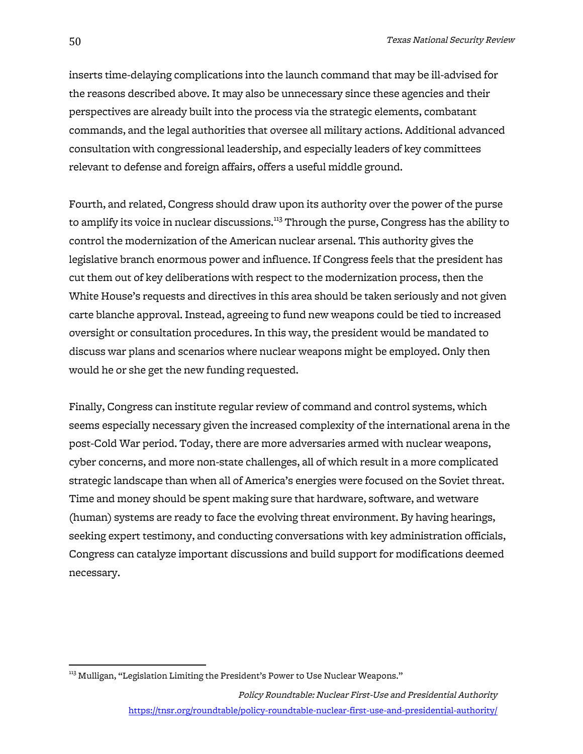inserts time-delaying complications into the launch command that may be ill-advised for the reasons described above. It may also be unnecessary since these agencies and their perspectives are already built into the process via the strategic elements, combatant commands, and the legal authorities that oversee all military actions. Additional advanced consultation with congressional leadership, and especially leaders of key committees relevant to defense and foreign affairs, offers a useful middle ground.

Fourth, and related, Congress should draw upon its authority over the power of the purse to amplify its voice in nuclear discussions.<sup>113</sup> Through the purse, Congress has the ability to control the modernization of the American nuclear arsenal. This authority gives the legislative branch enormous power and influence. If Congress feels that the president has cut them out of key deliberations with respect to the modernization process, then the White House's requests and directives in this area should be taken seriously and not given carte blanche approval. Instead, agreeing to fund new weapons could be tied to increased oversight or consultation procedures. In this way, the president would be mandated to discuss war plans and scenarios where nuclear weapons might be employed. Only then would he or she get the new funding requested.

Finally, Congress can institute regular review of command and control systems, which seems especially necessary given the increased complexity of the international arena in the post-Cold War period. Today, there are more adversaries armed with nuclear weapons, cyber concerns, and more non-state challenges, all of which result in a more complicated strategic landscape than when all of America's energies were focused on the Soviet threat. Time and money should be spent making sure that hardware, software, and wetware (human) systems are ready to face the evolving threat environment. By having hearings, seeking expert testimony, and conducting conversations with key administration officials, Congress can catalyze important discussions and build support for modifications deemed necessary.

<sup>&</sup>lt;sup>113</sup> Mulligan, "Legislation Limiting the President's Power to Use Nuclear Weapons."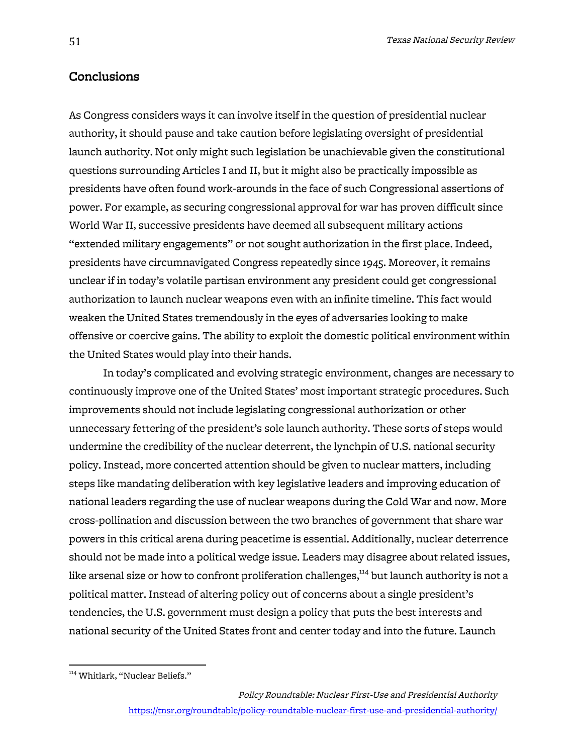### Conclusions

As Congress considers ways it can involve itself in the question of presidential nuclear authority, it should pause and take caution before legislating oversight of presidential launch authority. Not only might such legislation be unachievable given the constitutional questions surrounding Articles I and II, but it might also be practically impossible as presidents have often found work-arounds in the face of such Congressional assertions of power. For example, as securing congressional approval for war has proven difficult since World War II, successive presidents have deemed all subsequent military actions "extended military engagements" or not sought authorization in the first place. Indeed, presidents have circumnavigated Congress repeatedly since 1945. Moreover, it remains unclear if in today's volatile partisan environment any president could get congressional authorization to launch nuclear weapons even with an infinite timeline. This fact would weaken the United States tremendously in the eyes of adversaries looking to make offensive or coercive gains. The ability to exploit the domestic political environment within the United States would play into their hands.

In today's complicated and evolving strategic environment, changes are necessary to continuously improve one of the United States' most important strategic procedures. Such improvements should not include legislating congressional authorization or other unnecessary fettering of the president's sole launch authority. These sorts of steps would undermine the credibility of the nuclear deterrent, the lynchpin of U.S. national security policy. Instead, more concerted attention should be given to nuclear matters, including steps like mandating deliberation with key legislative leaders and improving education of national leaders regarding the use of nuclear weapons during the Cold War and now. More cross-pollination and discussion between the two branches of government that share war powers in this critical arena during peacetime is essential. Additionally, nuclear deterrence should not be made into a political wedge issue. Leaders may disagree about related issues, like arsenal size or how to confront proliferation challenges,<sup>114</sup> but launch authority is not a political matter. Instead of altering policy out of concerns about a single president's tendencies, the U.S. government must design a policy that puts the best interests and national security of the United States front and center today and into the future. Launch

<sup>&</sup>lt;sup>114</sup> Whitlark, "Nuclear Beliefs."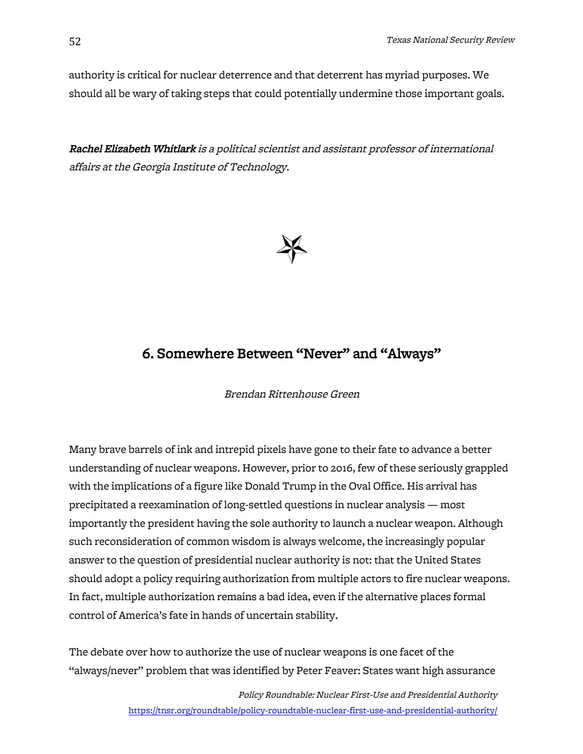authority is critical for nuclear deterrence and that deterrent has myriad purposes. We should all be wary of taking steps that could potentially undermine those important goals.

Rachel Elizabeth Whitlark is a political scientist and assistant professor of international affairs at the Georgia Institute of Technology.



# 6. Somewhere Between "Never" and "Always"

Brendan Rittenhouse Green

Many brave barrels of ink and intrepid pixels have gone to their fate to advance a better understanding of nuclear weapons. However, prior to 2016, few of these seriously grappled with the implications of a figure like Donald Trump in the Oval Office. His arrival has precipitated a reexamination of long-settled questions in nuclear analysis — most importantly the president having the sole authority to launch a nuclear weapon. Although such reconsideration of common wisdom is always welcome, the increasingly popular answer to the question of presidential nuclear authority is not: that the United States should adopt a policy requiring authorization from multiple actors to fire nuclear weapons. In fact, multiple authorization remains a bad idea, even if the alternative places formal control of America's fate in hands of uncertain stability.

The debate over how to authorize the use of nuclear weapons is one facet of the "always/never" problem that was identified by Peter Feaver: States want high assurance

> Policy Roundtable: Nuclear First-Use and Presidential Authority https://tnsr.org/roundtable/policy-roundtable-nuclear-first-use-and-presidential-authority/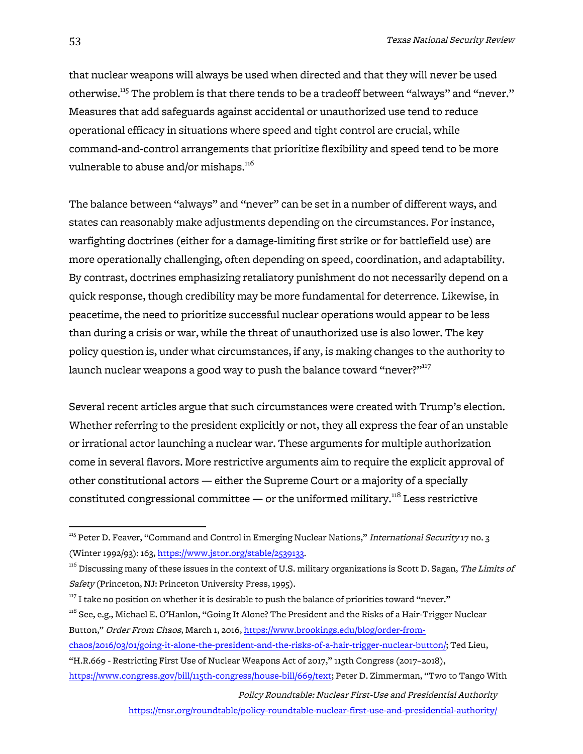that nuclear weapons will always be used when directed and that they will never be used otherwise.<sup>115</sup> The problem is that there tends to be a tradeoff between "always" and "never." Measures that add safeguards against accidental or unauthorized use tend to reduce operational efficacy in situations where speed and tight control are crucial, while command-and-control arrangements that prioritize flexibility and speed tend to be more vulnerable to abuse and/or mishaps. $116$ 

The balance between "always" and "never" can be set in a number of different ways, and states can reasonably make adjustments depending on the circumstances. For instance, warfighting doctrines (either for a damage-limiting first strike or for battlefield use) are more operationally challenging, often depending on speed, coordination, and adaptability. By contrast, doctrines emphasizing retaliatory punishment do not necessarily depend on a quick response, though credibility may be more fundamental for deterrence. Likewise, in peacetime, the need to prioritize successful nuclear operations would appear to be less than during a crisis or war, while the threat of unauthorized use is also lower. The key policy question is, under what circumstances, if any, is making changes to the authority to launch nuclear weapons a good way to push the balance toward "never?"<sup>117</sup>

Several recent articles argue that such circumstances were created with Trump's election. Whether referring to the president explicitly or not, they all express the fear of an unstable or irrational actor launching a nuclear war. These arguments for multiple authorization come in several flavors. More restrictive arguments aim to require the explicit approval of other constitutional actors — either the Supreme Court or a majority of a specially constituted congressional committee  $-$  or the uniformed military.<sup>118</sup> Less restrictive

- <sup>118</sup> See, e.g., Michael E. O'Hanlon, "Going It Alone? The President and the Risks of a Hair-Trigger Nuclear Button," Order From Chaos, March 1, 2016, https://www.brookings.edu/blog/order-from-
- chaos/2016/03/01/going-it-alone-the-president-and-the-risks-of-a-hair-trigger-nuclear-button/; Ted Lieu,
- "H.R.669 Restricting First Use of Nuclear Weapons Act of 2017," 115th Congress (2017–2018),

Policy Roundtable: Nuclear First-Use and Presidential Authority

https://tnsr.org/roundtable/policy-roundtable-nuclear-first-use-and-presidential-authority/

<sup>&</sup>lt;sup>115</sup> Peter D. Feaver, "Command and Control in Emerging Nuclear Nations," *International Security* 17 no. 3 (Winter 1992/93): 163, https://www.jstor.org/stable/2539133.

 $116$  Discussing many of these issues in the context of U.S. military organizations is Scott D. Sagan, The Limits of Safety (Princeton, NJ: Princeton University Press, 1995).

 $117$  I take no position on whether it is desirable to push the balance of priorities toward "never."

https://www.congress.gov/bill/115th-congress/house-bill/669/text; Peter D. Zimmerman, "Two to Tango With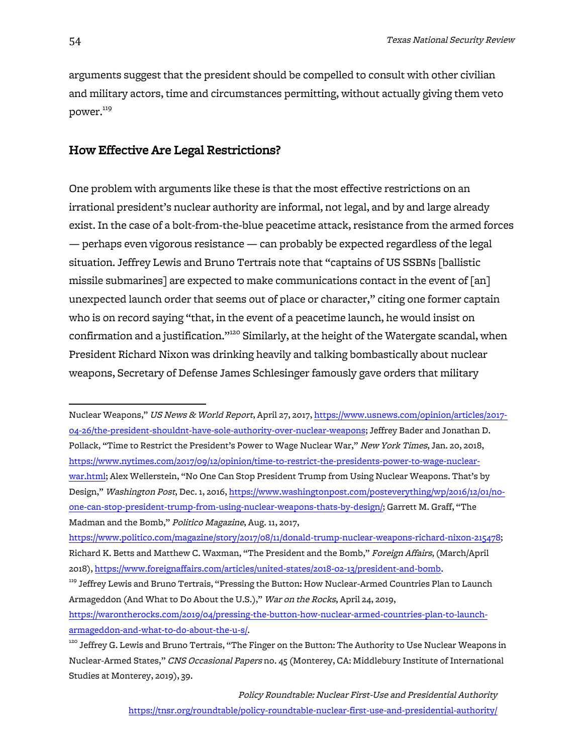arguments suggest that the president should be compelled to consult with other civilian and military actors, time and circumstances permitting, without actually giving them veto power.<sup>119</sup>

# How Effective Are Legal Restrictions?

One problem with arguments like these is that the most effective restrictions on an irrational president's nuclear authority are informal, not legal, and by and large already exist. In the case of a bolt-from-the-blue peacetime attack, resistance from the armed forces — perhaps even vigorous resistance — can probably be expected regardless of the legal situation. Jeffrey Lewis and Bruno Tertrais note that "captains of US SSBNs [ballistic missile submarines] are expected to make communications contact in the event of [an] unexpected launch order that seems out of place or character," citing one former captain who is on record saying "that, in the event of a peacetime launch, he would insist on confirmation and a justification."<sup>120</sup> Similarly, at the height of the Watergate scandal, when President Richard Nixon was drinking heavily and talking bombastically about nuclear weapons, Secretary of Defense James Schlesinger famously gave orders that military

 

Nuclear Weapons," US News & World Report, April 27, 2017, https://www.usnews.com/opinion/articles/2017- 04-26/the-president-shouldnt-have-sole-authority-over-nuclear-weapons; Jeffrey Bader and Jonathan D. Pollack, "Time to Restrict the President's Power to Wage Nuclear War," New York Times, Jan. 20, 2018, https://www.nytimes.com/2017/09/12/opinion/time-to-restrict-the-presidents-power-to-wage-nuclearwar.html; Alex Wellerstein, "No One Can Stop President Trump from Using Nuclear Weapons. That's by Design," Washington Post, Dec. 1, 2016, https://www.washingtonpost.com/posteverything/wp/2016/12/01/noone-can-stop-president-trump-from-using-nuclear-weapons-thats-by-design/; Garrett M. Graff, "The Madman and the Bomb," Politico Magazine, Aug. 11, 2017,

https://www.politico.com/magazine/story/2017/08/11/donald-trump-nuclear-weapons-richard-nixon-215478; Richard K. Betts and Matthew C. Waxman, "The President and the Bomb," Foreign Affairs, (March/April 2018), https://www.foreignaffairs.com/articles/united-states/2018-02-13/president-and-bomb.

 $^{\rm 119}$  Jeffrey Lewis and Bruno Tertrais, "Pressing the Button: How Nuclear-Armed Countries Plan to Launch Armageddon (And What to Do About the U.S.)," War on the Rocks, April 24, 2019, https://warontherocks.com/2019/04/pressing-the-button-how-nuclear-armed-countries-plan-to-launch-

armageddon-and-what-to-do-about-the-u-s/.

 $^{120}$  Jeffrey G. Lewis and Bruno Tertrais, "The Finger on the Button: The Authority to Use Nuclear Weapons in Nuclear-Armed States," CNS Occasional Papers no. 45 (Monterey, CA: Middlebury Institute of International Studies at Monterey, 2019), 39.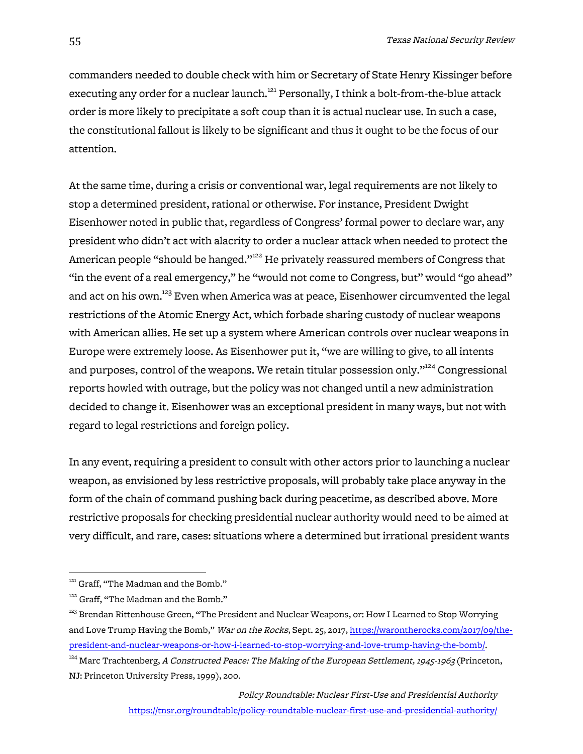commanders needed to double check with him or Secretary of State Henry Kissinger before executing any order for a nuclear launch.<sup>121</sup> Personally, I think a bolt-from-the-blue attack order is more likely to precipitate a soft coup than it is actual nuclear use. In such a case, the constitutional fallout is likely to be significant and thus it ought to be the focus of our attention.

At the same time, during a crisis or conventional war, legal requirements are not likely to stop a determined president, rational or otherwise. For instance, President Dwight Eisenhower noted in public that, regardless of Congress' formal power to declare war, any president who didn't act with alacrity to order a nuclear attack when needed to protect the American people "should be hanged."<sup>122</sup> He privately reassured members of Congress that "in the event of a real emergency," he "would not come to Congress, but" would "go ahead" and act on his own.<sup>123</sup> Even when America was at peace, Eisenhower circumvented the legal restrictions of the Atomic Energy Act, which forbade sharing custody of nuclear weapons with American allies. He set up a system where American controls over nuclear weapons in Europe were extremely loose. As Eisenhower put it, "we are willing to give, to all intents and purposes, control of the weapons. We retain titular possession only."<sup>124</sup> Congressional reports howled with outrage, but the policy was not changed until a new administration decided to change it. Eisenhower was an exceptional president in many ways, but not with regard to legal restrictions and foreign policy.

In any event, requiring a president to consult with other actors prior to launching a nuclear weapon, as envisioned by less restrictive proposals, will probably take place anyway in the form of the chain of command pushing back during peacetime, as described above. More restrictive proposals for checking presidential nuclear authority would need to be aimed at very difficult, and rare, cases: situations where a determined but irrational president wants

<sup>&</sup>lt;sup>121</sup> Graff, "The Madman and the Bomb."

<sup>&</sup>lt;sup>122</sup> Graff, "The Madman and the Bomb."

 $^{123}$  Brendan Rittenhouse Green, "The President and Nuclear Weapons, or: How I Learned to Stop Worrying and Love Trump Having the Bomb," War on the Rocks, Sept. 25, 2017, https://warontherocks.com/2017/09/thepresident-and-nuclear-weapons-or-how-i-learned-to-stop-worrying-and-love-trump-having-the-bomb/.

<sup>&</sup>lt;sup>124</sup> Marc Trachtenberg, A Constructed Peace: The Making of the European Settlement, 1945-1963 (Princeton, NJ: Princeton University Press, 1999), 200.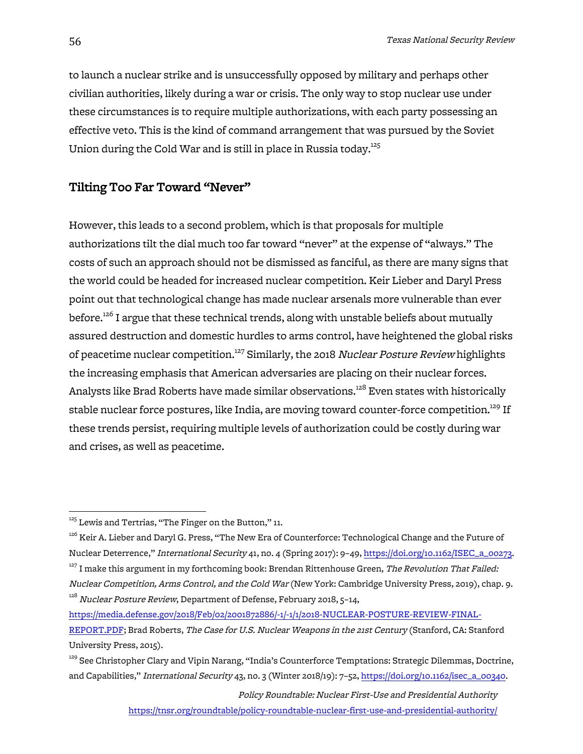to launch a nuclear strike and is unsuccessfully opposed by military and perhaps other civilian authorities, likely during a war or crisis. The only way to stop nuclear use under these circumstances is to require multiple authorizations, with each party possessing an effective veto. This is the kind of command arrangement that was pursued by the Soviet Union during the Cold War and is still in place in Russia today.<sup>125</sup>

# Tilting Too Far Toward "Never"

However, this leads to a second problem, which is that proposals for multiple authorizations tilt the dial much too far toward "never" at the expense of "always." The costs of such an approach should not be dismissed as fanciful, as there are many signs that the world could be headed for increased nuclear competition. Keir Lieber and Daryl Press point out that technological change has made nuclear arsenals more vulnerable than ever before.<sup>126</sup> I argue that these technical trends, along with unstable beliefs about mutually assured destruction and domestic hurdles to arms control, have heightened the global risks of peacetime nuclear competition.<sup>127</sup> Similarly, the 2018 Nuclear Posture Review highlights the increasing emphasis that American adversaries are placing on their nuclear forces. Analysts like Brad Roberts have made similar observations.<sup>128</sup> Even states with historically stable nuclear force postures, like India, are moving toward counter-force competition.<sup>129</sup> If these trends persist, requiring multiple levels of authorization could be costly during war and crises, as well as peacetime.

Policy Roundtable: Nuclear First-Use and Presidential Authority

https://tnsr.org/roundtable/policy-roundtable-nuclear-first-use-and-presidential-authority/

 $125$  Lewis and Tertrias, "The Finger on the Button," 11.

<sup>&</sup>lt;sup>126</sup> Keir A. Lieber and Daryl G. Press, "The New Era of Counterforce: Technological Change and the Future of Nuclear Deterrence," International Security 41, no. 4 (Spring 2017): 9–49, https://doi.org/10.1162/ISEC\_a\_00273.  $127$  I make this argument in my forthcoming book: Brendan Rittenhouse Green, The Revolution That Failed:

Nuclear Competition, Arms Control, and the Cold War (New York: Cambridge University Press, 2019), chap. 9. <sup>128</sup> Nuclear Posture Review, Department of Defense, February 2018, 5-14,

https://media.defense.gov/2018/Feb/02/2001872886/-1/-1/1/2018-NUCLEAR-POSTURE-REVIEW-FINAL-REPORT.PDF; Brad Roberts, The Case for U.S. Nuclear Weapons in the 21st Century (Stanford, CA: Stanford University Press, 2015).

<sup>&</sup>lt;sup>129</sup> See Christopher Clary and Vipin Narang, "India's Counterforce Temptations: Strategic Dilemmas, Doctrine, and Capabilities," International Security 43, no. 3 (Winter 2018/19): 7–52, https://doi.org/10.1162/isec\_a\_00340.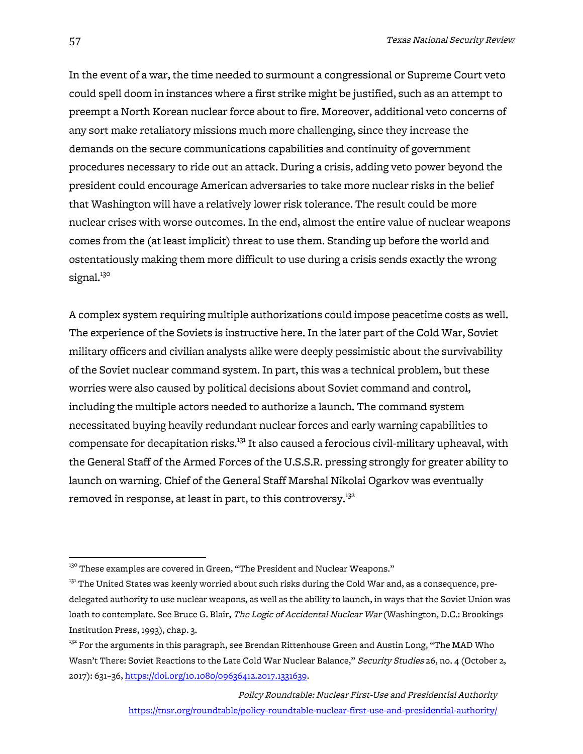In the event of a war, the time needed to surmount a congressional or Supreme Court veto could spell doom in instances where a first strike might be justified, such as an attempt to preempt a North Korean nuclear force about to fire. Moreover, additional veto concerns of any sort make retaliatory missions much more challenging, since they increase the demands on the secure communications capabilities and continuity of government procedures necessary to ride out an attack. During a crisis, adding veto power beyond the president could encourage American adversaries to take more nuclear risks in the belief that Washington will have a relatively lower risk tolerance. The result could be more nuclear crises with worse outcomes. In the end, almost the entire value of nuclear weapons comes from the (at least implicit) threat to use them. Standing up before the world and ostentatiously making them more difficult to use during a crisis sends exactly the wrong signal.<sup>130</sup>

A complex system requiring multiple authorizations could impose peacetime costs as well. The experience of the Soviets is instructive here. In the later part of the Cold War, Soviet military officers and civilian analysts alike were deeply pessimistic about the survivability of the Soviet nuclear command system. In part, this was a technical problem, but these worries were also caused by political decisions about Soviet command and control, including the multiple actors needed to authorize a launch. The command system necessitated buying heavily redundant nuclear forces and early warning capabilities to compensate for decapitation risks.<sup>131</sup> It also caused a ferocious civil-military upheaval, with the General Staff of the Armed Forces of the U.S.S.R. pressing strongly for greater ability to launch on warning. Chief of the General Staff Marshal Nikolai Ogarkov was eventually removed in response, at least in part, to this controversy.<sup>132</sup>

 $130$  These examples are covered in Green, "The President and Nuclear Weapons."

 $131$  The United States was keenly worried about such risks during the Cold War and, as a consequence, predelegated authority to use nuclear weapons, as well as the ability to launch, in ways that the Soviet Union was loath to contemplate. See Bruce G. Blair, The Logic of Accidental Nuclear War (Washington, D.C.: Brookings Institution Press, 1993), chap. 3.

 $^{132}$  For the arguments in this paragraph, see Brendan Rittenhouse Green and Austin Long, "The MAD Who Wasn't There: Soviet Reactions to the Late Cold War Nuclear Balance," Security Studies 26, no. 4 (October 2, 2017): 631–36, https://doi.org/10.1080/09636412.2017.1331639.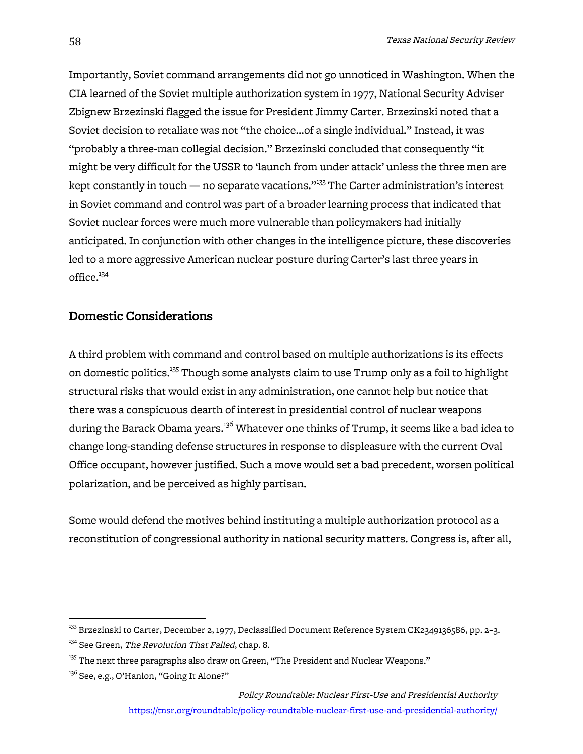Importantly, Soviet command arrangements did not go unnoticed in Washington. When the CIA learned of the Soviet multiple authorization system in 1977, National Security Adviser Zbignew Brzezinski flagged the issue for President Jimmy Carter. Brzezinski noted that a Soviet decision to retaliate was not "the choice…of a single individual." Instead, it was "probably a three-man collegial decision." Brzezinski concluded that consequently "it might be very difficult for the USSR to 'launch from under attack' unless the three men are kept constantly in touch — no separate vacations."<sup>133</sup> The Carter administration's interest in Soviet command and control was part of a broader learning process that indicated that Soviet nuclear forces were much more vulnerable than policymakers had initially anticipated. In conjunction with other changes in the intelligence picture, these discoveries led to a more aggressive American nuclear posture during Carter's last three years in  $office.<sup>134</sup>$ 

# Domestic Considerations

A third problem with command and control based on multiple authorizations is its effects on domestic politics.<sup>135</sup> Though some analysts claim to use Trump only as a foil to highlight structural risks that would exist in any administration, one cannot help but notice that there was a conspicuous dearth of interest in presidential control of nuclear weapons during the Barack Obama years.<sup>136</sup> Whatever one thinks of Trump, it seems like a bad idea to change long-standing defense structures in response to displeasure with the current Oval Office occupant, however justified. Such a move would set a bad precedent, worsen political polarization, and be perceived as highly partisan.

Some would defend the motives behind instituting a multiple authorization protocol as a reconstitution of congressional authority in national security matters. Congress is, after all,

<sup>&</sup>lt;sup>133</sup> Brzezinski to Carter, December 2, 1977, Declassified Document Reference System CK2349136586, pp. 2–3.

<sup>&</sup>lt;sup>134</sup> See Green, The Revolution That Failed, chap. 8.

 $^{135}$  The next three paragraphs also draw on Green, "The President and Nuclear Weapons."

<sup>&</sup>lt;sup>136</sup> See, e.g., O'Hanlon, "Going It Alone?"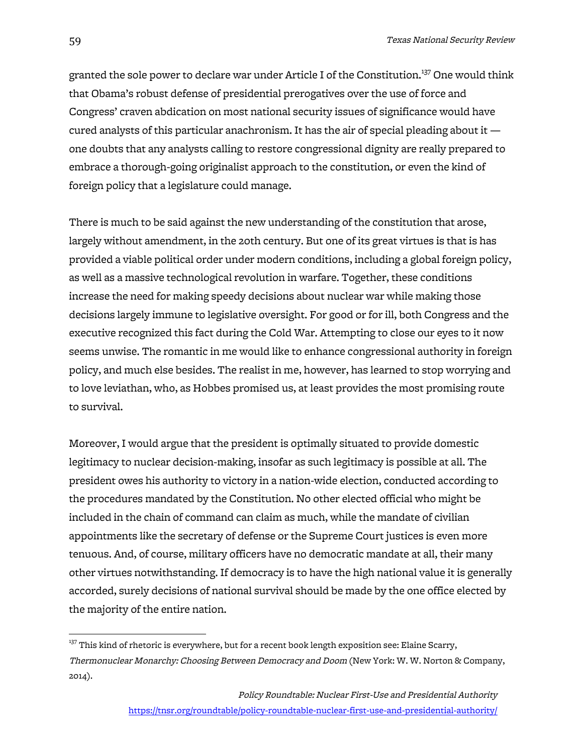granted the sole power to declare war under Article I of the Constitution.<sup>137</sup> One would think that Obama's robust defense of presidential prerogatives over the use of force and Congress' craven abdication on most national security issues of significance would have cured analysts of this particular anachronism. It has the air of special pleading about it one doubts that any analysts calling to restore congressional dignity are really prepared to embrace a thorough-going originalist approach to the constitution, or even the kind of foreign policy that a legislature could manage.

There is much to be said against the new understanding of the constitution that arose, largely without amendment, in the 20th century. But one of its great virtues is that is has provided a viable political order under modern conditions, including a global foreign policy, as well as a massive technological revolution in warfare. Together, these conditions increase the need for making speedy decisions about nuclear war while making those decisions largely immune to legislative oversight. For good or for ill, both Congress and the executive recognized this fact during the Cold War. Attempting to close our eyes to it now seems unwise. The romantic in me would like to enhance congressional authority in foreign policy, and much else besides. The realist in me, however, has learned to stop worrying and to love leviathan, who, as Hobbes promised us, at least provides the most promising route to survival.

Moreover, I would argue that the president is optimally situated to provide domestic legitimacy to nuclear decision-making, insofar as such legitimacy is possible at all. The president owes his authority to victory in a nation-wide election, conducted according to the procedures mandated by the Constitution. No other elected official who might be included in the chain of command can claim as much, while the mandate of civilian appointments like the secretary of defense or the Supreme Court justices is even more tenuous. And, of course, military officers have no democratic mandate at all, their many other virtues notwithstanding. If democracy is to have the high national value it is generally accorded, surely decisions of national survival should be made by the one office elected by the majority of the entire nation.

 $137$  This kind of rhetoric is everywhere, but for a recent book length exposition see: Elaine Scarry, Thermonuclear Monarchy: Choosing Between Democracy and Doom (New York: W. W. Norton & Company, 2014).